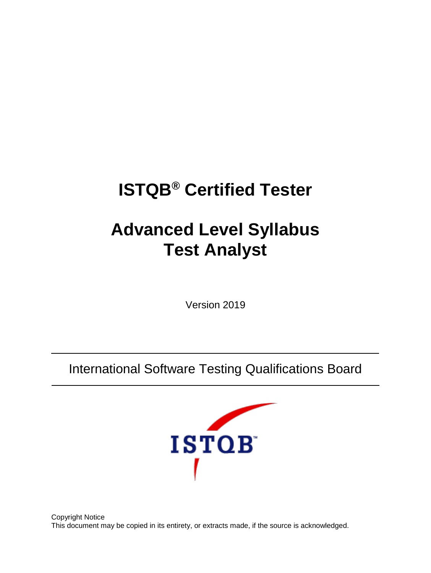# **ISTQB® Certified Tester**

# **Advanced Level Syllabus Test Analyst**

Version 2019

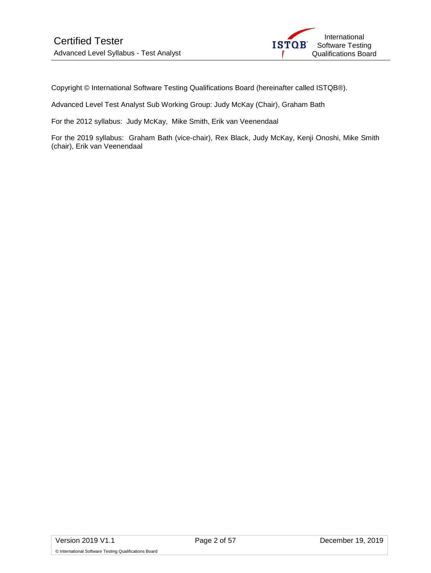

Copyright © International Software Testing Qualifications Board (hereinafter called ISTQB®).

Advanced Level Test Analyst Sub Working Group: Judy McKay (Chair), Graham Bath

For the 2012 syllabus: Judy McKay, Mike Smith, Erik van Veenendaal

For the 2019 syllabus: Graham Bath (vice-chair), Rex Black, Judy McKay, Kenji Onoshi, Mike Smith (chair), Erik van Veenendaal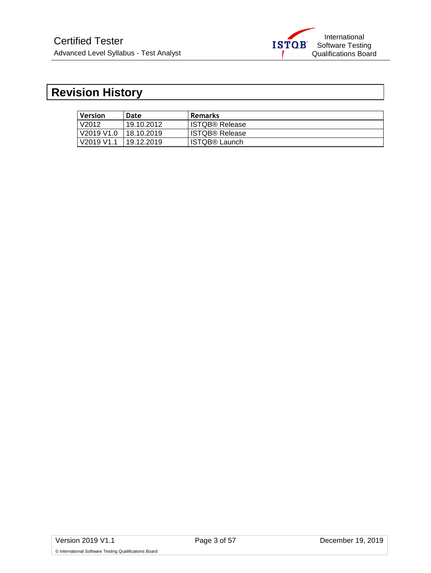

# <span id="page-2-0"></span>**Revision History**

| Version               | Date       | <b>Remarks</b>        |
|-----------------------|------------|-----------------------|
| V2012                 | 19.10.2012 | <b>ISTQB® Release</b> |
| V2019 V1.0 18.10.2019 |            | <b>ISTQB® Release</b> |
| V2019 V1.1            | 19.12.2019 | <b>ISTQB® Launch</b>  |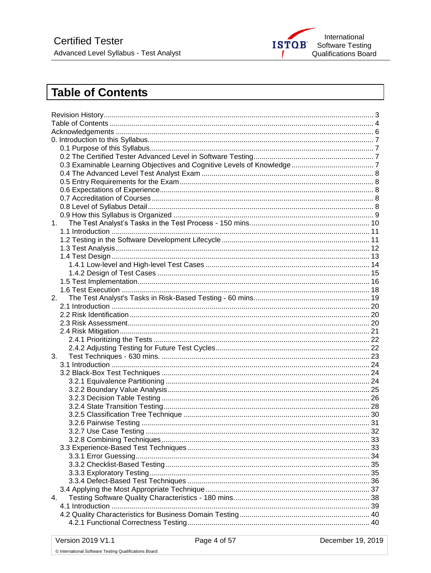

# <span id="page-3-0"></span>**Table of Contents**

| 1. |  |  |  |  |
|----|--|--|--|--|
|    |  |  |  |  |
|    |  |  |  |  |
|    |  |  |  |  |
|    |  |  |  |  |
|    |  |  |  |  |
|    |  |  |  |  |
|    |  |  |  |  |
|    |  |  |  |  |
| 2. |  |  |  |  |
|    |  |  |  |  |
|    |  |  |  |  |
|    |  |  |  |  |
|    |  |  |  |  |
|    |  |  |  |  |
|    |  |  |  |  |
| 3. |  |  |  |  |
|    |  |  |  |  |
|    |  |  |  |  |
|    |  |  |  |  |
|    |  |  |  |  |
|    |  |  |  |  |
|    |  |  |  |  |
|    |  |  |  |  |
|    |  |  |  |  |
|    |  |  |  |  |
|    |  |  |  |  |
|    |  |  |  |  |
|    |  |  |  |  |
|    |  |  |  |  |
|    |  |  |  |  |
|    |  |  |  |  |
|    |  |  |  |  |
|    |  |  |  |  |
| 4. |  |  |  |  |
|    |  |  |  |  |
|    |  |  |  |  |
|    |  |  |  |  |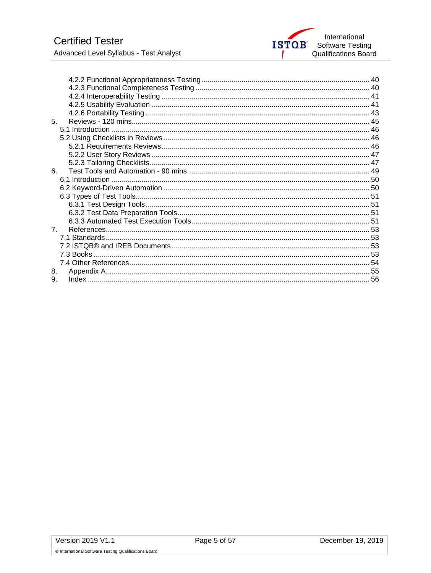

| 5 <sub>1</sub> |  |
|----------------|--|
|                |  |
|                |  |
|                |  |
|                |  |
|                |  |
| 6.             |  |
|                |  |
|                |  |
|                |  |
|                |  |
|                |  |
|                |  |
| $7^{\circ}$    |  |
|                |  |
|                |  |
|                |  |
|                |  |
| 8.             |  |
| 9.             |  |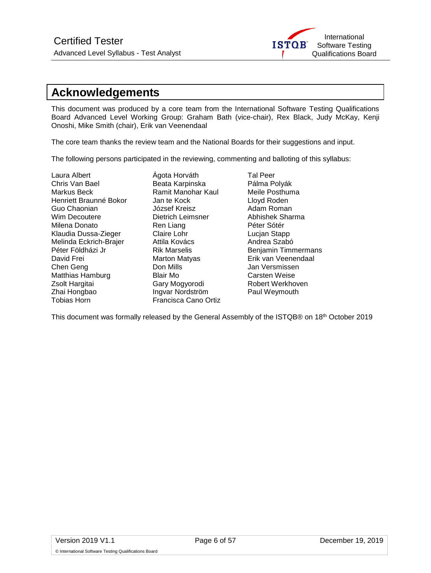

# <span id="page-5-0"></span>**Acknowledgements**

This document was produced by a core team from the International Software Testing Qualifications Board Advanced Level Working Group: Graham Bath (vice-chair), Rex Black, Judy McKay, Kenji Onoshi, Mike Smith (chair), Erik van Veenendaal

The core team thanks the review team and the National Boards for their suggestions and input.

The following persons participated in the reviewing, commenting and balloting of this syllabus:

Laura Albert Ágota Horváth Tal Peer<br>Chris Van Bael Beata Karpinska Pálma Polyák Chris Van Bael Beata Karpinska Pálma Polyák<br>Markus Beck Ramit Manohar Kaul Meile Posthuma Henriett Braunné Bokor Jan te Kock<br>Guo Chaonian József Kreisz Guo Chaonian József Kreisz Adam Roman Milena Donato Ren Liang Klaudia Dussa-Zieger Claire Lohr Lucjan Stapp Melinda Eckrich-Brajer **Attila Kovács** Andrea Szabó Péter Földházi Jr **Rik Marselis** Benjamin Timmermans David Frei **Marton Matyas** Erik van Veenendaal **Chen Geng Chen Geng Chen Chen Geng Chen Chen Chen Don Mills** Jan Versmissen Matthias Hamburg **Blair Mo Carsten Weise** Zsolt Hargitai **Gary Mogyorodi** Robert Werkhoven Zhai Hongbao **Ingvar Nordström** Paul Weymouth<br>Tobias Horn **Ingles Cana Paul Prancisca Cano Ortiz** 

Ramit Manohar Kaul Meile Posthu<br>Jan te Kock Meile Doyd Roden Dietrich Leimsner Abhishek Sl<br>Ren Liang Péter Sótér Francisca Cano Ortiz

This document was formally released by the General Assembly of the ISTQB® on 18th October 2019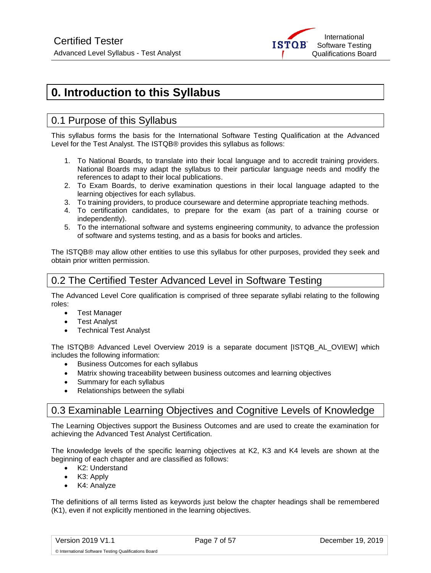

# <span id="page-6-4"></span><span id="page-6-0"></span>**0. Introduction to this Syllabus**

# <span id="page-6-1"></span>0.1 Purpose of this Syllabus

This syllabus forms the basis for the International Software Testing Qualification at the Advanced Level for the Test Analyst. The ISTQB® provides this syllabus as follows:

- 1. To National Boards, to translate into their local language and to accredit training providers. National Boards may adapt the syllabus to their particular language needs and modify the references to adapt to their local publications.
- 2. To Exam Boards, to derive examination questions in their local language adapted to the learning objectives for each syllabus.
- 3. To training providers, to produce courseware and determine appropriate teaching methods.
- 4. To certification candidates, to prepare for the exam (as part of a training course or independently).
- 5. To the international software and systems engineering community, to advance the profession of software and systems testing, and as a basis for books and articles.

The ISTQB® may allow other entities to use this syllabus for other purposes, provided they seek and obtain prior written permission.

# <span id="page-6-2"></span>0.2 The Certified Tester Advanced Level in Software Testing

The Advanced Level Core qualification is comprised of three separate syllabi relating to the following roles:

- Test Manager
- Test Analyst
- Technical Test Analyst

The ISTQB® Advanced Level Overview 2019 is a separate document [ISTQB\_AL\_OVIEW] which includes the following information:

- Business Outcomes for each syllabus
- Matrix showing traceability between business outcomes and learning objectives
- Summary for each syllabus
- Relationships between the syllabi

# <span id="page-6-3"></span>0.3 Examinable Learning Objectives and Cognitive Levels of Knowledge

The Learning Objectives support the Business Outcomes and are used to create the examination for achieving the Advanced Test Analyst Certification.

The knowledge levels of the specific learning objectives at K2, K3 and K4 levels are shown at the beginning of each chapter and are classified as follows:

- K2: Understand
- K3: Apply
- K4: Analyze

The definitions of all terms listed as keywords just below the chapter headings shall be remembered (K1), even if not explicitly mentioned in the learning objectives.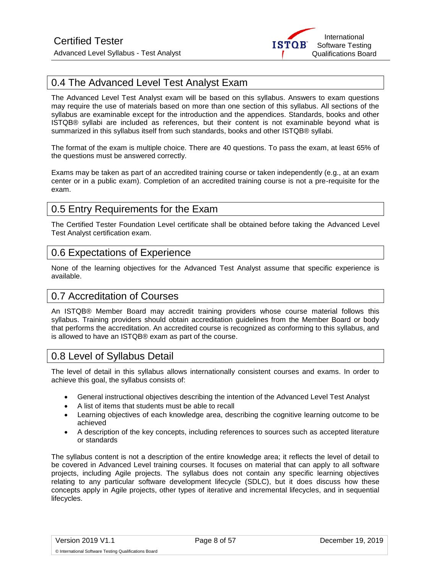

# <span id="page-7-4"></span>0.4 The Advanced Level Test Analyst Exam

The Advanced Level Test Analyst exam will be based on this syllabus. Answers to exam questions may require the use of materials based on more than one section of this syllabus. All sections of the syllabus are examinable except for the introduction and the appendices. Standards, books and other ISTQB® syllabi are included as references, but their content is not examinable beyond what is summarized in this syllabus itself from such standards, books and other ISTQB® syllabi.

The format of the exam is multiple choice. There are 40 questions. To pass the exam, at least 65% of the questions must be answered correctly.

Exams may be taken as part of an accredited training course or taken independently (e.g., at an exam center or in a public exam). Completion of an accredited training course is not a pre-requisite for the exam.

# <span id="page-7-0"></span>0.5 Entry Requirements for the Exam

The Certified Tester Foundation Level certificate shall be obtained before taking the Advanced Level Test Analyst certification exam.

# <span id="page-7-1"></span>0.6 Expectations of Experience

None of the learning objectives for the Advanced Test Analyst assume that specific experience is available.

# <span id="page-7-2"></span>0.7 Accreditation of Courses

An ISTQB® Member Board may accredit training providers whose course material follows this syllabus. Training providers should obtain accreditation guidelines from the Member Board or body that performs the accreditation. An accredited course is recognized as conforming to this syllabus, and is allowed to have an ISTQB® exam as part of the course.

# <span id="page-7-3"></span>0.8 Level of Syllabus Detail

The level of detail in this syllabus allows internationally consistent courses and exams. In order to achieve this goal, the syllabus consists of:

- General instructional objectives describing the intention of the Advanced Level Test Analyst
- A list of items that students must be able to recall
- Learning objectives of each knowledge area, describing the cognitive learning outcome to be achieved
- A description of the key concepts, including references to sources such as accepted literature or standards

The syllabus content is not a description of the entire knowledge area; it reflects the level of detail to be covered in Advanced Level training courses. It focuses on material that can apply to all software projects, including Agile projects. The syllabus does not contain any specific learning objectives relating to any particular software development lifecycle (SDLC), but it does discuss how these concepts apply in Agile projects, other types of iterative and incremental lifecycles, and in sequential lifecycles.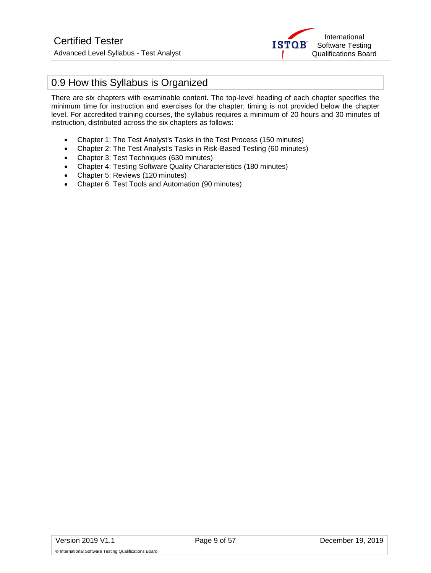

# 0.9 How this Syllabus is Organized

There are six chapters with examinable content. The top-level heading of each chapter specifies the minimum time for instruction and exercises for the chapter; timing is not provided below the chapter level. For accredited training courses, the syllabus requires a minimum of 20 hours and 30 minutes of instruction, distributed across the six chapters as follows:

- Chapter 1: The Test Analyst's Tasks in the Test Process (150 minutes)
- Chapter 2: The Test Analyst's Tasks in Risk-Based Testing (60 minutes)
- Chapter 3: Test Techniques (630 minutes)
- Chapter 4: Testing Software Quality Characteristics (180 minutes)
- Chapter 5: Reviews (120 minutes)
- Chapter 6: Test Tools and Automation (90 minutes)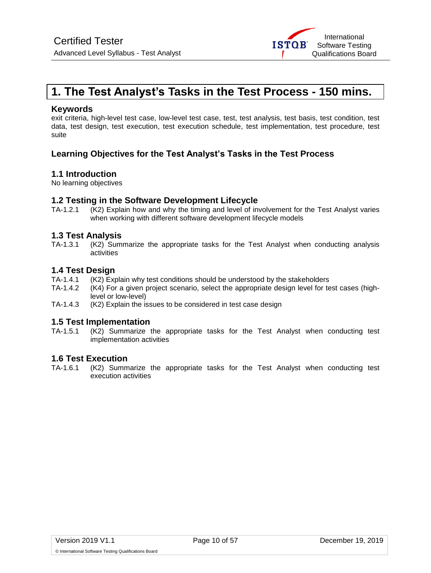

# <span id="page-9-0"></span>**1. The Test Analyst's Tasks in the Test Process - 150 mins.**

### **Keywords**

exit criteria, high-level test case, low-level test case, test, test analysis, test basis, test condition, test data, test design, test execution, test execution schedule, test implementation, test procedure, test suite

# **Learning Objectives for the Test Analyst's Tasks in the Test Process**

## **1.1 Introduction**

No learning objectives

# **1.2 Testing in the Software Development Lifecycle**<br>TA-1.2.1 (K2) Explain how and why the timing and level of inv

(K2) Explain how and why the timing and level of involvement for the Test Analyst varies when working with different software development lifecycle models

## **1.3 Test Analysis**

TA-1.3.1 (K2) Summarize the appropriate tasks for the Test Analyst when conducting analysis activities

# **1.4 Test Design**

- TA-1.4.1 (K2) Explain why test conditions should be understood by the stakeholders TA-1.4.2 (K4) For a given project scenario, select the appropriate design level for te
- (K4) For a given project scenario, select the appropriate design level for test cases (highlevel or low-level)
- TA-1.4.3 (K2) Explain the issues to be considered in test case design

# **1.5 Test Implementation**

(K2) Summarize the appropriate tasks for the Test Analyst when conducting test implementation activities

## **1.6 Test Execution**

TA-1.6.1 (K2) Summarize the appropriate tasks for the Test Analyst when conducting test execution activities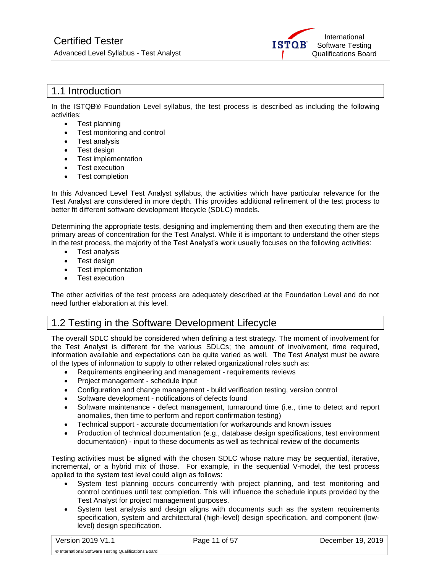

# <span id="page-10-0"></span>1.1 Introduction

In the ISTQB® Foundation Level syllabus, the test process is described as including the following activities:

- Test planning
- Test monitoring and control
- Test analysis
- Test design
- Test implementation
- Test execution
- Test completion

In this Advanced Level Test Analyst syllabus, the activities which have particular relevance for the Test Analyst are considered in more depth. This provides additional refinement of the test process to better fit different software development lifecycle (SDLC) models.

Determining the appropriate tests, designing and implementing them and then executing them are the primary areas of concentration for the Test Analyst. While it is important to understand the other steps in the test process, the majority of the Test Analyst's work usually focuses on the following activities:

- Test analysis
- Test design
- Test implementation
- Test execution

The other activities of the test process are adequately described at the Foundation Level and do not need further elaboration at this level.

# <span id="page-10-1"></span>1.2 Testing in the Software Development Lifecycle

The overall SDLC should be considered when defining a test strategy. The moment of involvement for the Test Analyst is different for the various SDLCs; the amount of involvement, time required, information available and expectations can be quite varied as well. The Test Analyst must be aware of the types of information to supply to other related organizational roles such as:

- Requirements engineering and management requirements reviews
- Project management schedule input
- Configuration and change management build verification testing, version control
- Software development notifications of defects found
- Software maintenance defect management, turnaround time (i.e., time to detect and report anomalies, then time to perform and report confirmation testing)
- Technical support accurate documentation for workarounds and known issues
- Production of technical documentation (e.g., database design specifications, test environment documentation) - input to these documents as well as technical review of the documents

Testing activities must be aligned with the chosen SDLC whose nature may be sequential, iterative, incremental, or a hybrid mix of those. For example, in the sequential V-model, the test process applied to the system test level could align as follows:

- System test planning occurs concurrently with project planning, and test monitoring and control continues until test completion. This will influence the schedule inputs provided by the Test Analyst for project management purposes.
- System test analysis and design aligns with documents such as the system requirements specification, system and architectural (high-level) design specification, and component (lowlevel) design specification.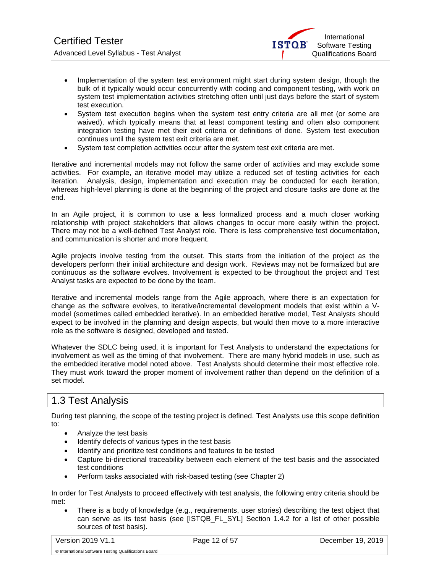

- Implementation of the system test environment might start during system design, though the bulk of it typically would occur concurrently with coding and component testing, with work on system test implementation activities stretching often until just days before the start of system test execution.
- System test execution begins when the system test entry criteria are all met (or some are waived), which typically means that at least component testing and often also component integration testing have met their exit criteria or definitions of done. System test execution continues until the system test exit criteria are met.
- System test completion activities occur after the system test exit criteria are met.

Iterative and incremental models may not follow the same order of activities and may exclude some activities. For example, an iterative model may utilize a reduced set of testing activities for each iteration. Analysis, design, implementation and execution may be conducted for each iteration, whereas high-level planning is done at the beginning of the project and closure tasks are done at the end.

In an Agile project, it is common to use a less formalized process and a much closer working relationship with project stakeholders that allows changes to occur more easily within the project. There may not be a well-defined Test Analyst role. There is less comprehensive test documentation, and communication is shorter and more frequent.

Agile projects involve testing from the outset. This starts from the initiation of the project as the developers perform their initial architecture and design work. Reviews may not be formalized but are continuous as the software evolves. Involvement is expected to be throughout the project and Test Analyst tasks are expected to be done by the team.

Iterative and incremental models range from the Agile approach, where there is an expectation for change as the software evolves, to iterative/incremental development models that exist within a Vmodel (sometimes called embedded iterative). In an embedded iterative model, Test Analysts should expect to be involved in the planning and design aspects, but would then move to a more interactive role as the software is designed, developed and tested.

Whatever the SDLC being used, it is important for Test Analysts to understand the expectations for involvement as well as the timing of that involvement. There are many hybrid models in use, such as the embedded iterative model noted above. Test Analysts should determine their most effective role. They must work toward the proper moment of involvement rather than depend on the definition of a set model.

# <span id="page-11-0"></span>1.3 Test Analysis

During test planning, the scope of the testing project is defined. Test Analysts use this scope definition to:

- Analyze the test basis
- Identify defects of various types in the test basis
- Identify and prioritize test conditions and features to be tested
- Capture bi-directional traceability between each element of the test basis and the associated test conditions
- Perform tasks associated with risk-based testing (see Chapter 2)

In order for Test Analysts to proceed effectively with test analysis, the following entry criteria should be met:

• There is a body of knowledge (e.g., requirements, user stories) describing the test object that can serve as its test basis (see [ISTQB\_FL\_SYL] Section 1.4.2 for a list of other possible sources of test basis).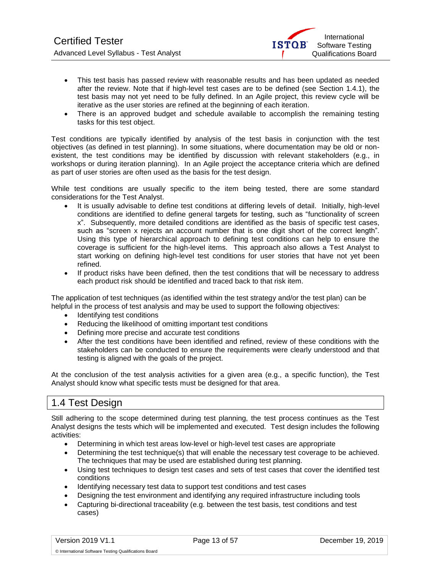

- This test basis has passed review with reasonable results and has been updated as needed after the review. Note that if high-level test cases are to be defined (see Section 1.4.1), the test basis may not yet need to be fully defined. In an Agile project, this review cycle will be iterative as the user stories are refined at the beginning of each iteration.
- There is an approved budget and schedule available to accomplish the remaining testing tasks for this test object.

Test conditions are typically identified by analysis of the test basis in conjunction with the test objectives (as defined in test planning). In some situations, where documentation may be old or nonexistent, the test conditions may be identified by discussion with relevant stakeholders (e.g., in workshops or during iteration planning). In an Agile project the acceptance criteria which are defined as part of user stories are often used as the basis for the test design.

While test conditions are usually specific to the item being tested, there are some standard considerations for the Test Analyst.

- It is usually advisable to define test conditions at differing levels of detail. Initially, high-level conditions are identified to define general targets for testing, such as "functionality of screen x". Subsequently, more detailed conditions are identified as the basis of specific test cases, such as "screen x rejects an account number that is one digit short of the correct length". Using this type of hierarchical approach to defining test conditions can help to ensure the coverage is sufficient for the high-level items. This approach also allows a Test Analyst to start working on defining high-level test conditions for user stories that have not yet been refined.
- If product risks have been defined, then the test conditions that will be necessary to address each product risk should be identified and traced back to that risk item.

The application of test techniques (as identified within the test strategy and/or the test plan) can be helpful in the process of test analysis and may be used to support the following objectives:

- Identifying test conditions
- Reducing the likelihood of omitting important test conditions
- Defining more precise and accurate test conditions
- After the test conditions have been identified and refined, review of these conditions with the stakeholders can be conducted to ensure the requirements were clearly understood and that testing is aligned with the goals of the project.

At the conclusion of the test analysis activities for a given area (e.g., a specific function), the Test Analyst should know what specific tests must be designed for that area.

# <span id="page-12-0"></span>1.4 Test Design

Still adhering to the scope determined during test planning, the test process continues as the Test Analyst designs the tests which will be implemented and executed. Test design includes the following activities:

- Determining in which test areas low-level or high-level test cases are appropriate
- Determining the test technique(s) that will enable the necessary test coverage to be achieved. The techniques that may be used are established during test planning.
- Using test techniques to design test cases and sets of test cases that cover the identified test conditions
- Identifying necessary test data to support test conditions and test cases
- Designing the test environment and identifying any required infrastructure including tools
- Capturing bi-directional traceability (e.g. between the test basis, test conditions and test cases)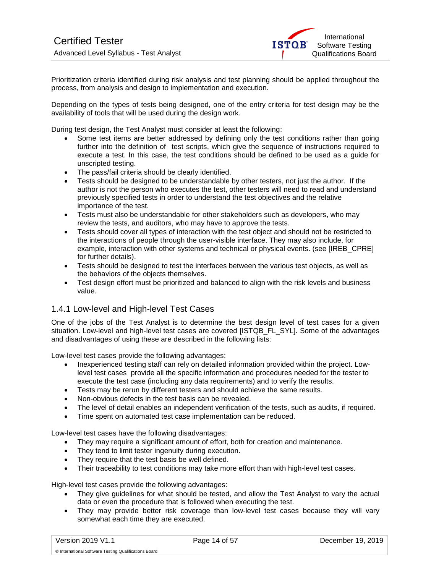

Prioritization criteria identified during risk analysis and test planning should be applied throughout the process, from analysis and design to implementation and execution.

Depending on the types of tests being designed, one of the entry criteria for test design may be the availability of tools that will be used during the design work.

During test design, the Test Analyst must consider at least the following:

- Some test items are better addressed by defining only the test conditions rather than going further into the definition of test scripts, which give the sequence of instructions required to execute a test. In this case, the test conditions should be defined to be used as a guide for unscripted testing.
- The pass/fail criteria should be clearly identified.
- Tests should be designed to be understandable by other testers, not just the author. If the author is not the person who executes the test, other testers will need to read and understand previously specified tests in order to understand the test objectives and the relative importance of the test.
- Tests must also be understandable for other stakeholders such as developers, who may review the tests, and auditors, who may have to approve the tests.
- Tests should cover all types of interaction with the test object and should not be restricted to the interactions of people through the user-visible interface. They may also include, for example, interaction with other systems and technical or physical events. (see [IREB\_CPRE] for further details).
- Tests should be designed to test the interfaces between the various test objects, as well as the behaviors of the objects themselves.
- Test design effort must be prioritized and balanced to align with the risk levels and business value.

## <span id="page-13-0"></span>1.4.1 Low-level and High-level Test Cases

One of the jobs of the Test Analyst is to determine the best design level of test cases for a given situation. Low-level and high-level test cases are covered [ISTQB\_FL\_SYL]. Some of the advantages and disadvantages of using these are described in the following lists:

Low-level test cases provide the following advantages:

- Inexperienced testing staff can rely on detailed information provided within the project. Lowlevel test cases provide all the specific information and procedures needed for the tester to execute the test case (including any data requirements) and to verify the results.
- Tests may be rerun by different testers and should achieve the same results.
- Non-obvious defects in the test basis can be revealed.
- The level of detail enables an independent verification of the tests, such as audits, if required.
- Time spent on automated test case implementation can be reduced.

Low-level test cases have the following disadvantages:

- They may require a significant amount of effort, both for creation and maintenance.
- They tend to limit tester ingenuity during execution.
- They require that the test basis be well defined.
- Their traceability to test conditions may take more effort than with high-level test cases.

High-level test cases provide the following advantages:

- They give guidelines for what should be tested, and allow the Test Analyst to vary the actual data or even the procedure that is followed when executing the test.
- They may provide better risk coverage than low-level test cases because they will vary somewhat each time they are executed.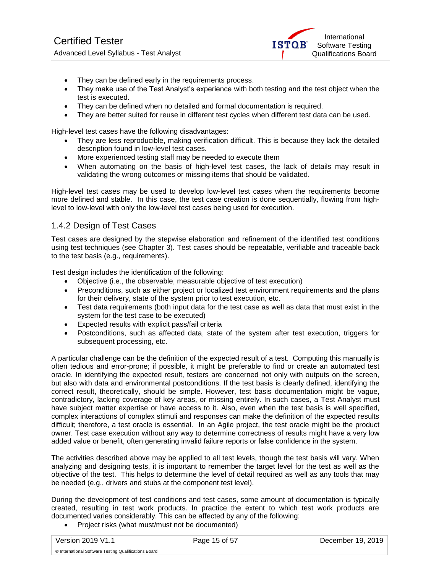- They can be defined early in the requirements process.
- They make use of the Test Analyst's experience with both testing and the test object when the test is executed.
- They can be defined when no detailed and formal documentation is required.
- They are better suited for reuse in different test cycles when different test data can be used.

High-level test cases have the following disadvantages:

- They are less reproducible, making verification difficult. This is because they lack the detailed description found in low-level test cases.
- More experienced testing staff may be needed to execute them
- When automating on the basis of high-level test cases, the lack of details may result in validating the wrong outcomes or missing items that should be validated.

High-level test cases may be used to develop low-level test cases when the requirements become more defined and stable. In this case, the test case creation is done sequentially, flowing from highlevel to low-level with only the low-level test cases being used for execution.

## <span id="page-14-0"></span>1.4.2 Design of Test Cases

Test cases are designed by the stepwise elaboration and refinement of the identified test conditions using test techniques (see Chapter 3). Test cases should be repeatable, verifiable and traceable back to the test basis (e.g., requirements).

Test design includes the identification of the following:

- Objective (i.e., the observable, measurable objective of test execution)
- Preconditions, such as either project or localized test environment requirements and the plans for their delivery, state of the system prior to test execution, etc.
- Test data requirements (both input data for the test case as well as data that must exist in the system for the test case to be executed)
- Expected results with explicit pass/fail criteria
- Postconditions, such as affected data, state of the system after test execution, triggers for subsequent processing, etc.

A particular challenge can be the definition of the expected result of a test. Computing this manually is often tedious and error-prone; if possible, it might be preferable to find or create an automated test oracle. In identifying the expected result, testers are concerned not only with outputs on the screen, but also with data and environmental postconditions. If the test basis is clearly defined, identifying the correct result, theoretically, should be simple. However, test basis documentation might be vague, contradictory, lacking coverage of key areas, or missing entirely. In such cases, a Test Analyst must have subject matter expertise or have access to it. Also, even when the test basis is well specified, complex interactions of complex stimuli and responses can make the definition of the expected results difficult; therefore, a test oracle is essential. In an Agile project, the test oracle might be the product owner. Test case execution without any way to determine correctness of results might have a very low added value or benefit, often generating invalid failure reports or false confidence in the system.

The activities described above may be applied to all test levels, though the test basis will vary. When analyzing and designing tests, it is important to remember the target level for the test as well as the objective of the test. This helps to determine the level of detail required as well as any tools that may be needed (e.g., drivers and stubs at the component test level).

During the development of test conditions and test cases, some amount of documentation is typically created, resulting in test work products. In practice the extent to which test work products are documented varies considerably. This can be affected by any of the following:

• Project risks (what must/must not be documented)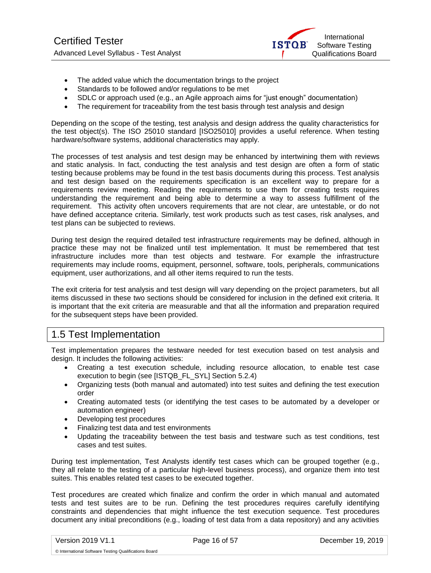

- The added value which the documentation brings to the project
- Standards to be followed and/or regulations to be met
- SDLC or approach used (e.g., an Agile approach aims for "just enough" documentation)
- The requirement for traceability from the test basis through test analysis and design

Depending on the scope of the testing, test analysis and design address the quality characteristics for the test object(s). The ISO 25010 standard [ISO25010] provides a useful reference. When testing hardware/software systems, additional characteristics may apply.

The processes of test analysis and test design may be enhanced by intertwining them with reviews and static analysis. In fact, conducting the test analysis and test design are often a form of static testing because problems may be found in the test basis documents during this process. Test analysis and test design based on the requirements specification is an excellent way to prepare for a requirements review meeting. Reading the requirements to use them for creating tests requires understanding the requirement and being able to determine a way to assess fulfillment of the requirement. This activity often uncovers requirements that are not clear, are untestable, or do not have defined acceptance criteria. Similarly, test work products such as test cases, risk analyses, and test plans can be subjected to reviews.

During test design the required detailed test infrastructure requirements may be defined, although in practice these may not be finalized until test implementation. It must be remembered that test infrastructure includes more than test objects and testware. For example the infrastructure requirements may include rooms, equipment, personnel, software, tools, peripherals, communications equipment, user authorizations, and all other items required to run the tests.

The exit criteria for test analysis and test design will vary depending on the project parameters, but all items discussed in these two sections should be considered for inclusion in the defined exit criteria. It is important that the exit criteria are measurable and that all the information and preparation required for the subsequent steps have been provided.

# <span id="page-15-0"></span>1.5 Test Implementation

Test implementation prepares the testware needed for test execution based on test analysis and design. It includes the following activities:

- Creating a test execution schedule, including resource allocation, to enable test case execution to begin (see [ISTQB\_FL\_SYL] Section 5.2.4)
- Organizing tests (both manual and automated) into test suites and defining the test execution order
- Creating automated tests (or identifying the test cases to be automated by a developer or automation engineer)
- Developing test procedures
- Finalizing test data and test environments
- Updating the traceability between the test basis and testware such as test conditions, test cases and test suites.

During test implementation, Test Analysts identify test cases which can be grouped together (e.g., they all relate to the testing of a particular high-level business process), and organize them into test suites. This enables related test cases to be executed together.

Test procedures are created which finalize and confirm the order in which manual and automated tests and test suites are to be run. Defining the test procedures requires carefully identifying constraints and dependencies that might influence the test execution sequence. Test procedures document any initial preconditions (e.g., loading of test data from a data repository) and any activities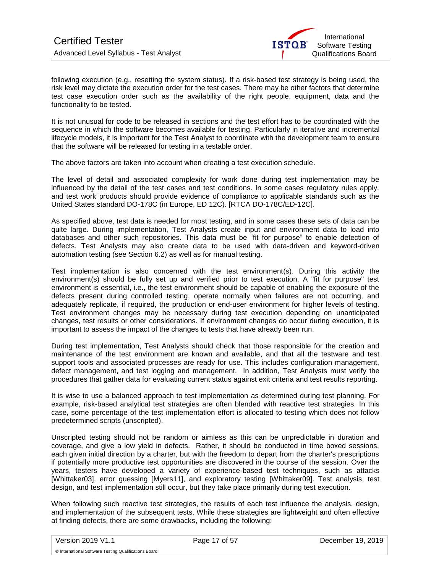

following execution (e.g., resetting the system status). If a risk-based test strategy is being used, the risk level may dictate the execution order for the test cases. There may be other factors that determine test case execution order such as the availability of the right people, equipment, data and the functionality to be tested.

It is not unusual for code to be released in sections and the test effort has to be coordinated with the sequence in which the software becomes available for testing. Particularly in iterative and incremental lifecycle models, it is important for the Test Analyst to coordinate with the development team to ensure that the software will be released for testing in a testable order.

The above factors are taken into account when creating a test execution schedule.

The level of detail and associated complexity for work done during test implementation may be influenced by the detail of the test cases and test conditions. In some cases regulatory rules apply, and test work products should provide evidence of compliance to applicable standards such as the United States standard DO-178C (in Europe, ED 12C). [RTCA DO-178C/ED-12C].

As specified above, test data is needed for most testing, and in some cases these sets of data can be quite large. During implementation, Test Analysts create input and environment data to load into databases and other such repositories. This data must be "fit for purpose" to enable detection of defects. Test Analysts may also create data to be used with data-driven and keyword-driven automation testing (see Section 6.2) as well as for manual testing.

Test implementation is also concerned with the test environment(s). During this activity the environment(s) should be fully set up and verified prior to test execution. A "fit for purpose" test environment is essential, i.e., the test environment should be capable of enabling the exposure of the defects present during controlled testing, operate normally when failures are not occurring, and adequately replicate, if required, the production or end-user environment for higher levels of testing. Test environment changes may be necessary during test execution depending on unanticipated changes, test results or other considerations. If environment changes do occur during execution, it is important to assess the impact of the changes to tests that have already been run.

During test implementation, Test Analysts should check that those responsible for the creation and maintenance of the test environment are known and available, and that all the testware and test support tools and associated processes are ready for use. This includes configuration management, defect management, and test logging and management. In addition, Test Analysts must verify the procedures that gather data for evaluating current status against exit criteria and test results reporting.

It is wise to use a balanced approach to test implementation as determined during test planning. For example, risk-based analytical test strategies are often blended with reactive test strategies. In this case, some percentage of the test implementation effort is allocated to testing which does not follow predetermined scripts (unscripted).

Unscripted testing should not be random or aimless as this can be unpredictable in duration and coverage, and give a low yield in defects. Rather, it should be conducted in time boxed sessions, each given initial direction by a charter, but with the freedom to depart from the charter's prescriptions if potentially more productive test opportunities are discovered in the course of the session. Over the years, testers have developed a variety of experience-based test techniques, such as attacks [Whittaker03], error guessing [Myers11], and exploratory testing [Whittaker09]. Test analysis, test design, and test implementation still occur, but they take place primarily during test execution.

When following such reactive test strategies, the results of each test influence the analysis, design, and implementation of the subsequent tests. While these strategies are lightweight and often effective at finding defects, there are some drawbacks, including the following: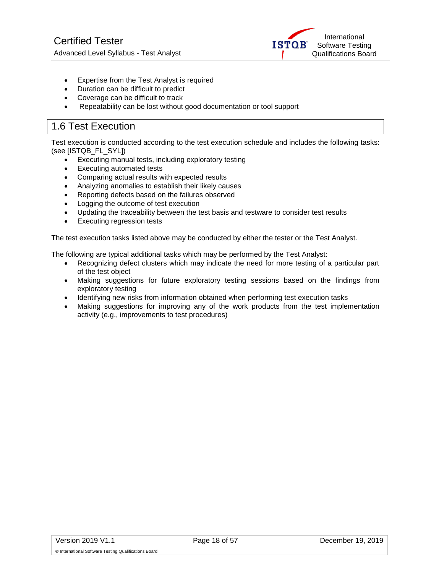

- Expertise from the Test Analyst is required
- Duration can be difficult to predict
- Coverage can be difficult to track
- Repeatability can be lost without good documentation or tool support

# <span id="page-17-0"></span>1.6 Test Execution

Test execution is conducted according to the test execution schedule and includes the following tasks: (see [ISTQB\_FL\_SYL])

- Executing manual tests, including exploratory testing
- Executing automated tests
- Comparing actual results with expected results
- Analyzing anomalies to establish their likely causes
- Reporting defects based on the failures observed
- Logging the outcome of test execution
- Updating the traceability between the test basis and testware to consider test results
- Executing regression tests

The test execution tasks listed above may be conducted by either the tester or the Test Analyst.

The following are typical additional tasks which may be performed by the Test Analyst:

- Recognizing defect clusters which may indicate the need for more testing of a particular part of the test object
- Making suggestions for future exploratory testing sessions based on the findings from exploratory testing
- Identifying new risks from information obtained when performing test execution tasks
- Making suggestions for improving any of the work products from the test implementation activity (e.g., improvements to test procedures)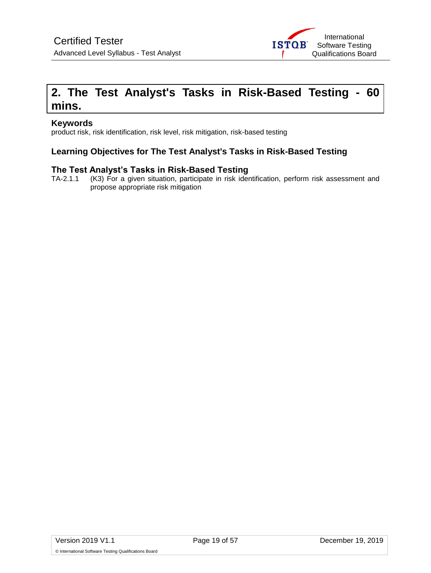

# <span id="page-18-0"></span>**2. The Test Analyst's Tasks in Risk-Based Testing - 60 mins.**

## **Keywords**

product risk, risk identification, risk level, risk mitigation, risk-based testing

# **Learning Objectives for The Test Analyst's Tasks in Risk-Based Testing**

# **The Test Analyst's Tasks in Risk-Based Testing**<br>TA-2.1.1 (K3) For a given situation, participate in risk ider

(K3) For a given situation, participate in risk identification, perform risk assessment and propose appropriate risk mitigation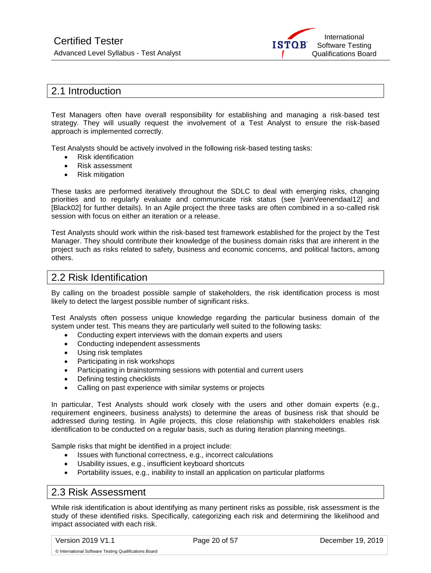

# <span id="page-19-0"></span>2.1 Introduction

Test Managers often have overall responsibility for establishing and managing a risk-based test strategy. They will usually request the involvement of a Test Analyst to ensure the risk-based approach is implemented correctly.

Test Analysts should be actively involved in the following risk-based testing tasks:

- Risk identification
- Risk assessment
- Risk mitigation

These tasks are performed iteratively throughout the SDLC to deal with emerging risks, changing priorities and to regularly evaluate and communicate risk status (see [vanVeenendaal12] and [Black02] for further details). In an Agile project the three tasks are often combined in a so-called risk session with focus on either an iteration or a release.

Test Analysts should work within the risk-based test framework established for the project by the Test Manager. They should contribute their knowledge of the business domain risks that are inherent in the project such as risks related to safety, business and economic concerns, and political factors, among others.

# <span id="page-19-1"></span>2.2 Risk Identification

By calling on the broadest possible sample of stakeholders, the risk identification process is most likely to detect the largest possible number of significant risks.

Test Analysts often possess unique knowledge regarding the particular business domain of the system under test. This means they are particularly well suited to the following tasks:

- Conducting expert interviews with the domain experts and users
- Conducting independent assessments
- Using risk templates
- Participating in risk workshops
- Participating in brainstorming sessions with potential and current users
- Defining testing checklists
- Calling on past experience with similar systems or projects

In particular, Test Analysts should work closely with the users and other domain experts (e.g., requirement engineers, business analysts) to determine the areas of business risk that should be addressed during testing. In Agile projects, this close relationship with stakeholders enables risk identification to be conducted on a regular basis, such as during iteration planning meetings.

Sample risks that might be identified in a project include:

- Issues with functional correctness, e.g., incorrect calculations
- Usability issues, e.g., insufficient keyboard shortcuts
- Portability issues, e.g., inability to install an application on particular platforms

# <span id="page-19-2"></span>2.3 Risk Assessment

While risk identification is about identifying as many pertinent risks as possible, risk assessment is the study of these identified risks. Specifically, categorizing each risk and determining the likelihood and impact associated with each risk.

Version 2019 V1.1 Page 20 of 57 December 19, 2019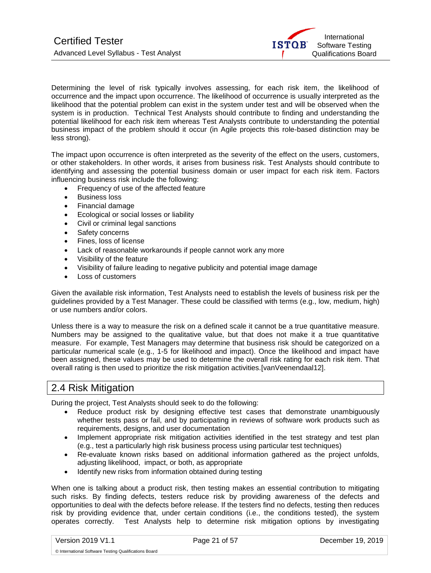

Determining the level of risk typically involves assessing, for each risk item, the likelihood of occurrence and the impact upon occurrence. The likelihood of occurrence is usually interpreted as the likelihood that the potential problem can exist in the system under test and will be observed when the system is in production. Technical Test Analysts should contribute to finding and understanding the potential likelihood for each risk item whereas Test Analysts contribute to understanding the potential business impact of the problem should it occur (in Agile projects this role-based distinction may be less strong).

The impact upon occurrence is often interpreted as the severity of the effect on the users, customers, or other stakeholders. In other words, it arises from business risk. Test Analysts should contribute to identifying and assessing the potential business domain or user impact for each risk item. Factors influencing business risk include the following:

- Frequency of use of the affected feature
- Business loss
- Financial damage
- Ecological or social losses or liability
- Civil or criminal legal sanctions
- Safety concerns
- Fines, loss of license
- Lack of reasonable workarounds if people cannot work any more
- Visibility of the feature
- Visibility of failure leading to negative publicity and potential image damage
- Loss of customers

Given the available risk information, Test Analysts need to establish the levels of business risk per the guidelines provided by a Test Manager. These could be classified with terms (e.g., low, medium, high) or use numbers and/or colors.

Unless there is a way to measure the risk on a defined scale it cannot be a true quantitative measure. Numbers may be assigned to the qualitative value, but that does not make it a true quantitative measure. For example, Test Managers may determine that business risk should be categorized on a particular numerical scale (e.g., 1-5 for likelihood and impact). Once the likelihood and impact have been assigned, these values may be used to determine the overall risk rating for each risk item. That overall rating is then used to prioritize the risk mitigation activities.[vanVeenendaal12].

# <span id="page-20-0"></span>2.4 Risk Mitigation

During the project, Test Analysts should seek to do the following:

- Reduce product risk by designing effective test cases that demonstrate unambiguously whether tests pass or fail, and by participating in reviews of software work products such as requirements, designs, and user documentation
- Implement appropriate risk mitigation activities identified in the test strategy and test plan (e.g., test a particularly high risk business process using particular test techniques)
- Re-evaluate known risks based on additional information gathered as the project unfolds, adjusting likelihood, impact, or both, as appropriate
- Identify new risks from information obtained during testing

When one is talking about a product risk, then testing makes an essential contribution to mitigating such risks. By finding defects, testers reduce risk by providing awareness of the defects and opportunities to deal with the defects before release. If the testers find no defects, testing then reduces risk by providing evidence that, under certain conditions (i.e., the conditions tested), the system operates correctly. Test Analysts help to determine risk mitigation options by investigating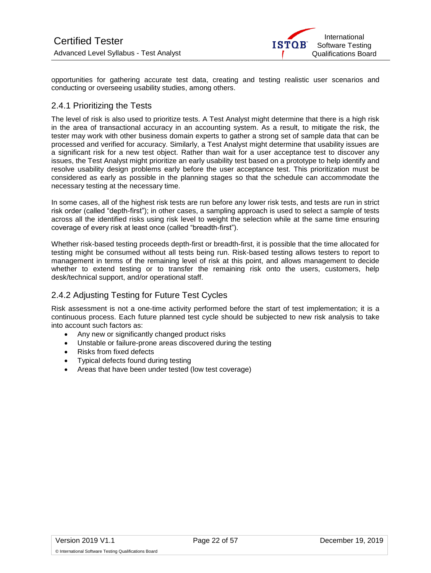

opportunities for gathering accurate test data, creating and testing realistic user scenarios and conducting or overseeing usability studies, among others.

# <span id="page-21-0"></span>2.4.1 Prioritizing the Tests

The level of risk is also used to prioritize tests. A Test Analyst might determine that there is a high risk in the area of transactional accuracy in an accounting system. As a result, to mitigate the risk, the tester may work with other business domain experts to gather a strong set of sample data that can be processed and verified for accuracy. Similarly, a Test Analyst might determine that usability issues are a significant risk for a new test object. Rather than wait for a user acceptance test to discover any issues, the Test Analyst might prioritize an early usability test based on a prototype to help identify and resolve usability design problems early before the user acceptance test. This prioritization must be considered as early as possible in the planning stages so that the schedule can accommodate the necessary testing at the necessary time.

In some cases, all of the highest risk tests are run before any lower risk tests, and tests are run in strict risk order (called "depth-first"); in other cases, a sampling approach is used to select a sample of tests across all the identified risks using risk level to weight the selection while at the same time ensuring coverage of every risk at least once (called "breadth-first").

Whether risk-based testing proceeds depth-first or breadth-first, it is possible that the time allocated for testing might be consumed without all tests being run. Risk-based testing allows testers to report to management in terms of the remaining level of risk at this point, and allows management to decide whether to extend testing or to transfer the remaining risk onto the users, customers, help desk/technical support, and/or operational staff.

# <span id="page-21-1"></span>2.4.2 Adjusting Testing for Future Test Cycles

Risk assessment is not a one-time activity performed before the start of test implementation; it is a continuous process. Each future planned test cycle should be subjected to new risk analysis to take into account such factors as:

- Any new or significantly changed product risks
- Unstable or failure-prone areas discovered during the testing
- Risks from fixed defects
- Typical defects found during testing
- Areas that have been under tested (low test coverage)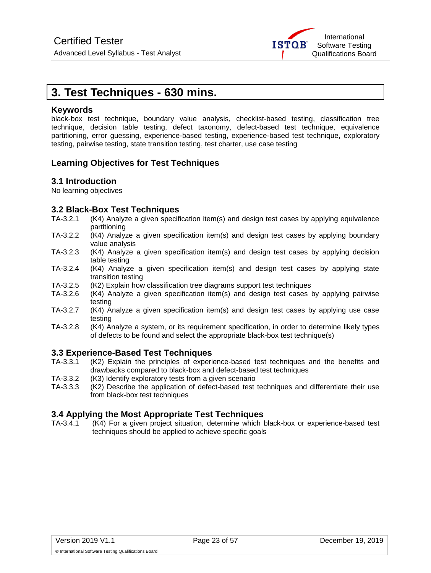

# <span id="page-22-0"></span>**3. Test Techniques - 630 mins.**

## **Keywords**

black-box test technique, boundary value analysis, checklist-based testing, classification tree technique, decision table testing, defect taxonomy, defect-based test technique, equivalence partitioning, error guessing, experience-based testing, experience-based test technique, exploratory testing, pairwise testing, state transition testing, test charter, use case testing

# **Learning Objectives for Test Techniques**

## **3.1 Introduction**

No learning objectives

## **3.2 Black-Box Test Techniques**

- TA-3.2.1 (K4) Analyze a given specification item(s) and design test cases by applying equivalence partitioning
- TA-3.2.2 (K4) Analyze a given specification item(s) and design test cases by applying boundary value analysis
- TA-3.2.3 (K4) Analyze a given specification item(s) and design test cases by applying decision table testing
- TA-3.2.4 (K4) Analyze a given specification item(s) and design test cases by applying state transition testing
- TA-3.2.5 (K2) Explain how classification tree diagrams support test techniques
- TA-3.2.6 (K4) Analyze a given specification item(s) and design test cases by applying pairwise testing
- TA-3.2.7 (K4) Analyze a given specification item(s) and design test cases by applying use case testing
- TA-3.2.8 (K4) Analyze a system, or its requirement specification, in order to determine likely types of defects to be found and select the appropriate black-box test technique(s)

## **3.3 Experience-Based Test Techniques**

- TA-3.3.1 (K2) Explain the principles of experience-based test techniques and the benefits and drawbacks compared to black-box and defect-based test techniques
- TA-3.3.2 (K3) Identify exploratory tests from a given scenario
- TA-3.3.3 (K2) Describe the application of defect-based test techniques and differentiate their use from black-box test techniques

## **3.4 Applying the Most Appropriate Test Techniques**

TA-3.4.1 (K4) For a given project situation, determine which black-box or experience-based test techniques should be applied to achieve specific goals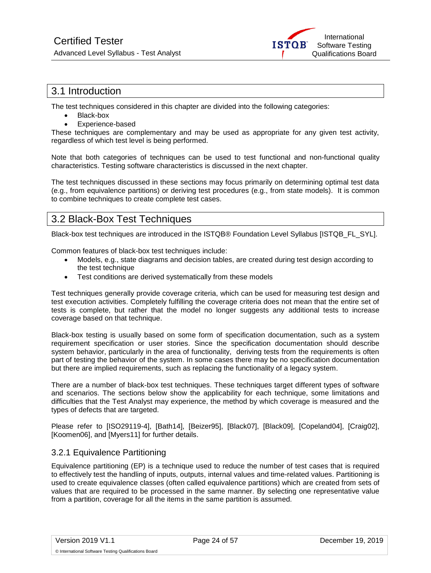

# <span id="page-23-0"></span>3.1 Introduction

The test techniques considered in this chapter are divided into the following categories:

- Black-box
- Experience-based

These techniques are complementary and may be used as appropriate for any given test activity, regardless of which test level is being performed.

Note that both categories of techniques can be used to test functional and non-functional quality characteristics. Testing software characteristics is discussed in the next chapter.

The test techniques discussed in these sections may focus primarily on determining optimal test data (e.g., from equivalence partitions) or deriving test procedures (e.g., from state models). It is common to combine techniques to create complete test cases.

# <span id="page-23-1"></span>3.2 Black-Box Test Techniques

Black-box test techniques are introduced in the ISTQB® Foundation Level Syllabus [ISTQB\_FL\_SYL].

Common features of black-box test techniques include:

- Models, e.g., state diagrams and decision tables, are created during test design according to the test technique
- Test conditions are derived systematically from these models

Test techniques generally provide coverage criteria, which can be used for measuring test design and test execution activities. Completely fulfilling the coverage criteria does not mean that the entire set of tests is complete, but rather that the model no longer suggests any additional tests to increase coverage based on that technique.

Black-box testing is usually based on some form of specification documentation, such as a system requirement specification or user stories. Since the specification documentation should describe system behavior, particularly in the area of functionality, deriving tests from the requirements is often part of testing the behavior of the system. In some cases there may be no specification documentation but there are implied requirements, such as replacing the functionality of a legacy system.

There are a number of black-box test techniques. These techniques target different types of software and scenarios. The sections below show the applicability for each technique, some limitations and difficulties that the Test Analyst may experience, the method by which coverage is measured and the types of defects that are targeted.

Please refer to [ISO29119-4], [Bath14], [Beizer95], [Black07], [Black09], [Copeland04], [Craig02], [Koomen06], and [Myers11] for further details.

## <span id="page-23-2"></span>3.2.1 Equivalence Partitioning

Equivalence partitioning (EP) is a technique used to reduce the number of test cases that is required to effectively test the handling of inputs, outputs, internal values and time-related values. Partitioning is used to create equivalence classes (often called equivalence partitions) which are created from sets of values that are required to be processed in the same manner. By selecting one representative value from a partition, coverage for all the items in the same partition is assumed.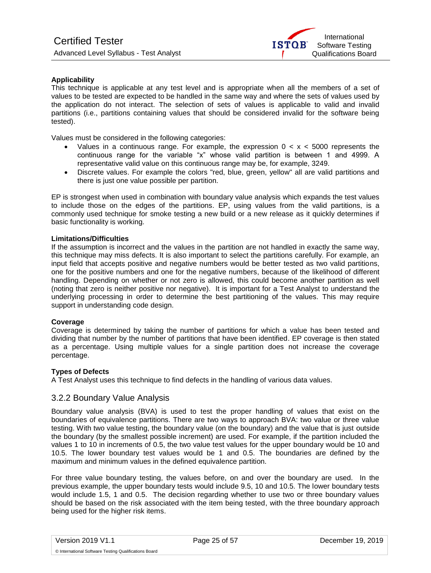

### **Applicability**

This technique is applicable at any test level and is appropriate when all the members of a set of values to be tested are expected to be handled in the same way and where the sets of values used by the application do not interact. The selection of sets of values is applicable to valid and invalid partitions (i.e., partitions containing values that should be considered invalid for the software being tested).

Values must be considered in the following categories:

- Values in a continuous range. For example, the expression  $0 \lt x \lt 5000$  represents the continuous range for the variable "x" whose valid partition is between 1 and 4999. A representative valid value on this continuous range may be, for example, 3249.
- Discrete values. For example the colors "red, blue, green, yellow" all are valid partitions and there is just one value possible per partition.

EP is strongest when used in combination with boundary value analysis which expands the test values to include those on the edges of the partitions. EP, using values from the valid partitions, is a commonly used technique for smoke testing a new build or a new release as it quickly determines if basic functionality is working.

#### **Limitations/Difficulties**

If the assumption is incorrect and the values in the partition are not handled in exactly the same way, this technique may miss defects. It is also important to select the partitions carefully. For example, an input field that accepts positive and negative numbers would be better tested as two valid partitions, one for the positive numbers and one for the negative numbers, because of the likelihood of different handling. Depending on whether or not zero is allowed, this could become another partition as well (noting that zero is neither positive nor negative). It is important for a Test Analyst to understand the underlying processing in order to determine the best partitioning of the values. This may require support in understanding code design.

#### **Coverage**

Coverage is determined by taking the number of partitions for which a value has been tested and dividing that number by the number of partitions that have been identified. EP coverage is then stated as a percentage. Using multiple values for a single partition does not increase the coverage percentage.

#### **Types of Defects**

<span id="page-24-0"></span>A Test Analyst uses this technique to find defects in the handling of various data values.

#### 3.2.2 Boundary Value Analysis

Boundary value analysis (BVA) is used to test the proper handling of values that exist on the boundaries of equivalence partitions. There are two ways to approach BVA: two value or three value testing. With two value testing, the boundary value (on the boundary) and the value that is just outside the boundary (by the smallest possible increment) are used. For example, if the partition included the values 1 to 10 in increments of 0.5, the two value test values for the upper boundary would be 10 and 10.5. The lower boundary test values would be 1 and 0.5. The boundaries are defined by the maximum and minimum values in the defined equivalence partition.

For three value boundary testing, the values before, on and over the boundary are used. In the previous example, the upper boundary tests would include 9.5, 10 and 10.5. The lower boundary tests would include 1.5, 1 and 0.5. The decision regarding whether to use two or three boundary values should be based on the risk associated with the item being tested, with the three boundary approach being used for the higher risk items.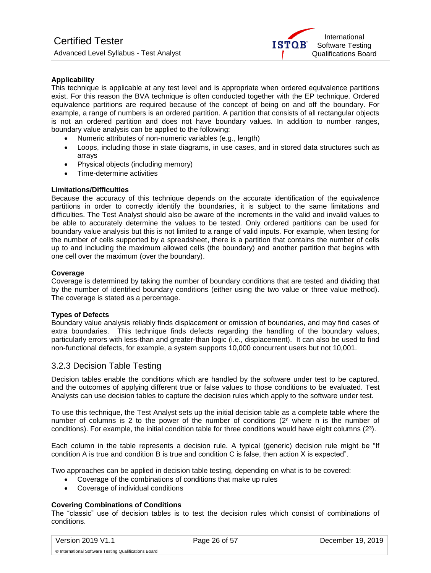

### **Applicability**

This technique is applicable at any test level and is appropriate when ordered equivalence partitions exist. For this reason the BVA technique is often conducted together with the EP technique. Ordered equivalence partitions are required because of the concept of being on and off the boundary. For example, a range of numbers is an ordered partition. A partition that consists of all rectangular objects is not an ordered partition and does not have boundary values. In addition to number ranges, boundary value analysis can be applied to the following:

- Numeric attributes of non-numeric variables (e.g., length)
- Loops, including those in state diagrams, in use cases, and in stored data structures such as arrays
- Physical objects (including memory)
- Time-determine activities

#### **Limitations/Difficulties**

Because the accuracy of this technique depends on the accurate identification of the equivalence partitions in order to correctly identify the boundaries, it is subject to the same limitations and difficulties. The Test Analyst should also be aware of the increments in the valid and invalid values to be able to accurately determine the values to be tested. Only ordered partitions can be used for boundary value analysis but this is not limited to a range of valid inputs. For example, when testing for the number of cells supported by a spreadsheet, there is a partition that contains the number of cells up to and including the maximum allowed cells (the boundary) and another partition that begins with one cell over the maximum (over the boundary).

#### **Coverage**

Coverage is determined by taking the number of boundary conditions that are tested and dividing that by the number of identified boundary conditions (either using the two value or three value method). The coverage is stated as a percentage.

#### **Types of Defects**

Boundary value analysis reliably finds displacement or omission of boundaries, and may find cases of extra boundaries. This technique finds defects regarding the handling of the boundary values, particularly errors with less-than and greater-than logic (i.e., displacement). It can also be used to find non-functional defects, for example, a system supports 10,000 concurrent users but not 10,001.

## <span id="page-25-0"></span>3.2.3 Decision Table Testing

Decision tables enable the conditions which are handled by the software under test to be captured, and the outcomes of applying different true or false values to those conditions to be evaluated. Test Analysts can use decision tables to capture the decision rules which apply to the software under test.

To use this technique, the Test Analyst sets up the initial decision table as a complete table where the number of columns is 2 to the power of the number of conditions  $(2^n$  where n is the number of conditions). For example, the initial condition table for three conditions would have eight columns (2<sup>3</sup> ).

Each column in the table represents a decision rule. A typical (generic) decision rule might be "If condition A is true and condition B is true and condition C is false, then action X is expected".

Two approaches can be applied in decision table testing, depending on what is to be covered:

- Coverage of the combinations of conditions that make up rules
- Coverage of individual conditions

### **Covering Combinations of Conditions**

The "classic" use of decision tables is to test the decision rules which consist of combinations of conditions.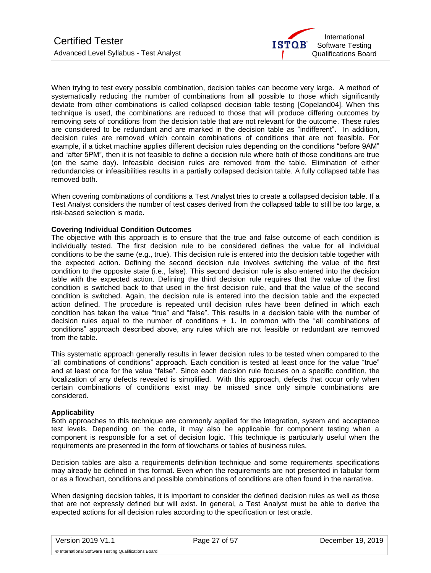

When trying to test every possible combination, decision tables can become very large. A method of systematically reducing the number of combinations from all possible to those which significantly deviate from other combinations is called collapsed decision table testing [Copeland04]. When this technique is used, the combinations are reduced to those that will produce differing outcomes by removing sets of conditions from the decision table that are not relevant for the outcome. These rules are considered to be redundant and are marked in the decision table as "indifferent". In addition, decision rules are removed which contain combinations of conditions that are not feasible. For example, if a ticket machine applies different decision rules depending on the conditions "before 9AM" and "after 5PM", then it is not feasible to define a decision rule where both of those conditions are true (on the same day). Infeasible decision rules are removed from the table. Elimination of either redundancies or infeasibilities results in a partially collapsed decision table. A fully collapsed table has removed both.

When covering combinations of conditions a Test Analyst tries to create a collapsed decision table. If a Test Analyst considers the number of test cases derived from the collapsed table to still be too large, a risk-based selection is made.

#### **Covering Individual Condition Outcomes**

The objective with this approach is to ensure that the true and false outcome of each condition is individually tested. The first decision rule to be considered defines the value for all individual conditions to be the same (e.g., true). This decision rule is entered into the decision table together with the expected action. Defining the second decision rule involves switching the value of the first condition to the opposite state (i.e., false). This second decision rule is also entered into the decision table with the expected action. Defining the third decision rule requires that the value of the first condition is switched back to that used in the first decision rule, and that the value of the second condition is switched. Again, the decision rule is entered into the decision table and the expected action defined. The procedure is repeated until decision rules have been defined in which each condition has taken the value "true" and "false". This results in a decision table with the number of decision rules equal to the number of conditions  $+ 1$ . In common with the "all combinations of conditions" approach described above, any rules which are not feasible or redundant are removed from the table.

This systematic approach generally results in fewer decision rules to be tested when compared to the "all combinations of conditions" approach. Each condition is tested at least once for the value "true" and at least once for the value "false". Since each decision rule focuses on a specific condition, the localization of any defects revealed is simplified. With this approach, defects that occur only when certain combinations of conditions exist may be missed since only simple combinations are considered.

#### **Applicability**

Both approaches to this technique are commonly applied for the integration, system and acceptance test levels. Depending on the code, it may also be applicable for component testing when a component is responsible for a set of decision logic. This technique is particularly useful when the requirements are presented in the form of flowcharts or tables of business rules.

Decision tables are also a requirements definition technique and some requirements specifications may already be defined in this format. Even when the requirements are not presented in tabular form or as a flowchart, conditions and possible combinations of conditions are often found in the narrative.

When designing decision tables, it is important to consider the defined decision rules as well as those that are not expressly defined but will exist. In general, a Test Analyst must be able to derive the expected actions for all decision rules according to the specification or test oracle.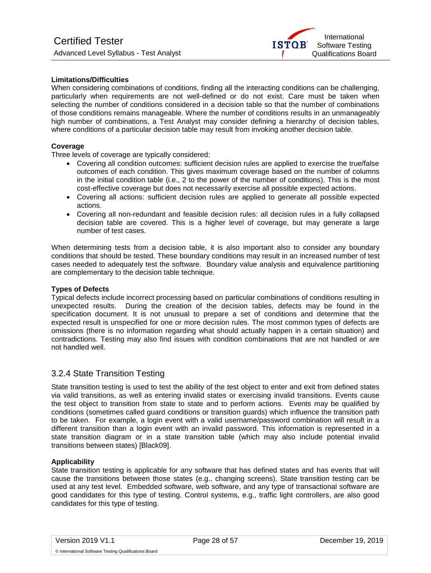

#### **Limitations/Difficulties**

When considering combinations of conditions, finding all the interacting conditions can be challenging, particularly when requirements are not well-defined or do not exist. Care must be taken when selecting the number of conditions considered in a decision table so that the number of combinations of those conditions remains manageable. Where the number of conditions results in an unmanageably high number of combinations, a Test Analyst may consider defining a hierarchy of decision tables, where conditions of a particular decision table may result from invoking another decision table.

#### **Coverage**

Three levels of coverage are typically considered:

- Covering all condition outcomes: sufficient decision rules are applied to exercise the true/false outcomes of each condition. This gives maximum coverage based on the number of columns in the initial condition table (i.e., 2 to the power of the number of conditions). This is the most cost-effective coverage but does not necessarily exercise all possible expected actions.
- Covering all actions: sufficient decision rules are applied to generate all possible expected actions.
- Covering all non-redundant and feasible decision rules: all decision rules in a fully collapsed decision table are covered. This is a higher level of coverage, but may generate a large number of test cases.

When determining tests from a decision table, it is also important also to consider any boundary conditions that should be tested. These boundary conditions may result in an increased number of test cases needed to adequately test the software. Boundary value analysis and equivalence partitioning are complementary to the decision table technique.

#### **Types of Defects**

Typical defects include incorrect processing based on particular combinations of conditions resulting in unexpected results. During the creation of the decision tables, defects may be found in the specification document. It is not unusual to prepare a set of conditions and determine that the expected result is unspecified for one or more decision rules. The most common types of defects are omissions (there is no information regarding what should actually happen in a certain situation) and contradictions. Testing may also find issues with condition combinations that are not handled or are not handled well.

## <span id="page-27-0"></span>3.2.4 State Transition Testing

State transition testing is used to test the ability of the test object to enter and exit from defined states via valid transitions, as well as entering invalid states or exercising invalid transitions. Events cause the test object to transition from state to state and to perform actions. Events may be qualified by conditions (sometimes called guard conditions or transition guards) which influence the transition path to be taken. For example, a login event with a valid username/password combination will result in a different transition than a login event with an invalid password. This information is represented in a state transition diagram or in a state transition table (which may also include potential invalid transitions between states) [Black09].

#### **Applicability**

State transition testing is applicable for any software that has defined states and has events that will cause the transitions between those states (e.g., changing screens). State transition testing can be used at any test level. Embedded software, web software, and any type of transactional software are good candidates for this type of testing. Control systems, e.g., traffic light controllers, are also good candidates for this type of testing.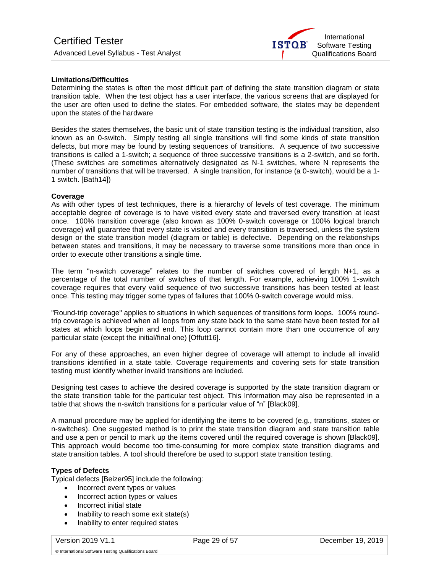

#### **Limitations/Difficulties**

Determining the states is often the most difficult part of defining the state transition diagram or state transition table. When the test object has a user interface, the various screens that are displayed for the user are often used to define the states. For embedded software, the states may be dependent upon the states of the hardware

Besides the states themselves, the basic unit of state transition testing is the individual transition, also known as an 0-switch. Simply testing all single transitions will find some kinds of state transition defects, but more may be found by testing sequences of transitions. A sequence of two successive transitions is called a 1-switch; a sequence of three successive transitions is a 2-switch, and so forth. (These switches are sometimes alternatively designated as N-1 switches, where N represents the number of transitions that will be traversed. A single transition, for instance (a 0-switch), would be a 1- 1 switch. [Bath14])

#### **Coverage**

As with other types of test techniques, there is a hierarchy of levels of test coverage. The minimum acceptable degree of coverage is to have visited every state and traversed every transition at least once. 100% transition coverage (also known as 100% 0-switch coverage or 100% logical branch coverage) will guarantee that every state is visited and every transition is traversed, unless the system design or the state transition model (diagram or table) is defective. Depending on the relationships between states and transitions, it may be necessary to traverse some transitions more than once in order to execute other transitions a single time.

The term "n-switch coverage" relates to the number of switches covered of length N+1, as a percentage of the total number of switches of that length. For example, achieving 100% 1-switch coverage requires that every valid sequence of two successive transitions has been tested at least once. This testing may trigger some types of failures that 100% 0-switch coverage would miss.

"Round-trip coverage" applies to situations in which sequences of transitions form loops. 100% roundtrip coverage is achieved when all loops from any state back to the same state have been tested for all states at which loops begin and end. This loop cannot contain more than one occurrence of any particular state (except the initial/final one) [Offutt16].

For any of these approaches, an even higher degree of coverage will attempt to include all invalid transitions identified in a state table. Coverage requirements and covering sets for state transition testing must identify whether invalid transitions are included.

Designing test cases to achieve the desired coverage is supported by the state transition diagram or the state transition table for the particular test object. This Information may also be represented in a table that shows the n-switch transitions for a particular value of "n" [Black09].

A manual procedure may be applied for identifying the items to be covered (e.g., transitions, states or n-switches). One suggested method is to print the state transition diagram and state transition table and use a pen or pencil to mark up the items covered until the required coverage is shown [Black09]. This approach would become too time-consuming for more complex state transition diagrams and state transition tables. A tool should therefore be used to support state transition testing.

### **Types of Defects**

Typical defects [Beizer95] include the following:

- Incorrect event types or values
- Incorrect action types or values
- Incorrect initial state
- Inability to reach some exit state(s)
- Inability to enter required states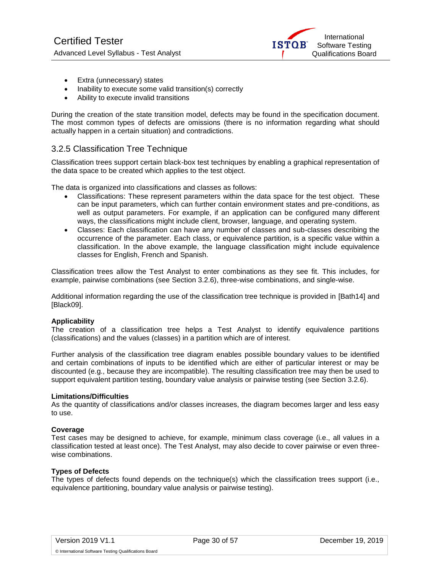

- <span id="page-29-1"></span>• Extra (unnecessary) states
- Inability to execute some valid transition(s) correctly
- Ability to execute invalid transitions

During the creation of the state transition model, defects may be found in the specification document. The most common types of defects are omissions (there is no information regarding what should actually happen in a certain situation) and contradictions.

## <span id="page-29-0"></span>3.2.5 Classification Tree Technique

Classification trees support certain black-box test techniques by enabling a graphical representation of the data space to be created which applies to the test object.

The data is organized into classifications and classes as follows:

- Classifications: These represent parameters within the data space for the test object. These can be input parameters, which can further contain environment states and pre-conditions, as well as output parameters. For example, if an application can be configured many different ways, the classifications might include client, browser, language, and operating system.
- Classes: Each classification can have any number of classes and sub-classes describing the occurrence of the parameter. Each class, or equivalence partition, is a specific value within a classification. In the above example, the language classification might include equivalence classes for English, French and Spanish.

Classification trees allow the Test Analyst to enter combinations as they see fit. This includes, for example, pairwise combinations (see Section 3.2.6), three-wise combinations, and single-wise.

Additional information regarding the use of the classification tree technique is provided in [Bath14] and [Black09].

#### **Applicability**

The creation of a classification tree helps a Test Analyst to identify equivalence partitions (classifications) and the values (classes) in a partition which are of interest.

Further analysis of the classification tree diagram enables possible boundary values to be identified and certain combinations of inputs to be identified which are either of particular interest or may be discounted (e.g., because they are incompatible). The resulting classification tree may then be used to support equivalent partition testing, boundary value analysis or pairwise testing (see Section 3.2.6).

#### **Limitations/Difficulties**

As the quantity of classifications and/or classes increases, the diagram becomes larger and less easy to use.

#### **Coverage**

Test cases may be designed to achieve, for example, minimum class coverage (i.e., all values in a classification tested at least once). The Test Analyst, may also decide to cover pairwise or even threewise combinations.

#### **Types of Defects**

The types of defects found depends on the technique(s) which the classification trees support (i.e., equivalence partitioning, boundary value analysis or pairwise testing).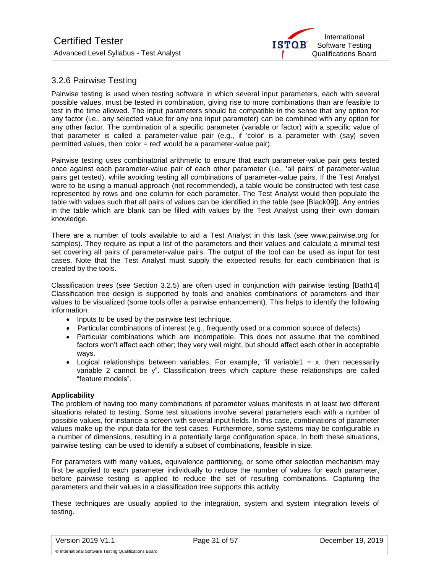

# 3.2.6 Pairwise Testing

Pairwise testing is used when testing software in which several input parameters, each with several possible values, must be tested in combination, giving rise to more combinations than are feasible to test in the time allowed. The input parameters should be compatible in the sense that any option for any factor (i.e., any selected value for any one input parameter) can be combined with any option for any other factor. The combination of a specific parameter (variable or factor) with a specific value of that parameter is called a parameter-value pair (e.g., if 'color' is a parameter with (say) seven permitted values, then 'color = red' would be a parameter-value pair).

Pairwise testing uses combinatorial arithmetic to ensure that each parameter-value pair gets tested once against each parameter-value pair of each other parameter (i.e., 'all pairs' of parameter-value pairs get tested), while avoiding testing all combinations of parameter-value pairs. If the Test Analyst were to be using a manual approach (not recommended), a table would be constructed with test case represented by rows and one column for each parameter. The Test Analyst would then populate the table with values such that all pairs of values can be identified in the table (see [Black09]). Any entries in the table which are blank can be filled with values by the Test Analyst using their own domain knowledge.

There are a number of tools available to aid a Test Analyst in this task (see www.pairwise.org for samples). They require as input a list of the parameters and their values and calculate a minimal test set covering all pairs of parameter-value pairs. The output of the tool can be used as input for test cases. Note that the Test Analyst must supply the expected results for each combination that is created by the tools.

Classification trees (see Section 3.2.5) are often used in conjunction with pairwise testing [Bath14] Classification tree design is supported by tools and enables combinations of parameters and their values to be visualized (some tools offer a pairwise enhancement). This helps to identify the following information:

- Inputs to be used by the pairwise test technique.
- Particular combinations of interest (e.g., frequently used or a common source of defects)
- Particular combinations which are incompatible. This does not assume that the combined factors won't affect each other; they very well might, but should affect each other in acceptable ways.
- Logical relationships between variables. For example, "if variable1 = x, then necessarily variable 2 cannot be y". Classification trees which capture these relationships are called "feature models".

#### **Applicability**

The problem of having too many combinations of parameter values manifests in at least two different situations related to testing. Some test situations involve several parameters each with a number of possible values, for instance a screen with several input fields. In this case, combinations of parameter values make up the input data for the test cases. Furthermore, some systems may be configurable in a number of dimensions, resulting in a potentially large configuration space. In both these situations, pairwise testing can be used to identify a subset of combinations, feasible in size.

For parameters with many values, equivalence partitioning, or some other selection mechanism may first be applied to each parameter individually to reduce the number of values for each parameter, before pairwise testing is applied to reduce the set of resulting combinations. Capturing the parameters and their values in a classification tree supports this activity.

These techniques are usually applied to the integration, system and system integration levels of testing.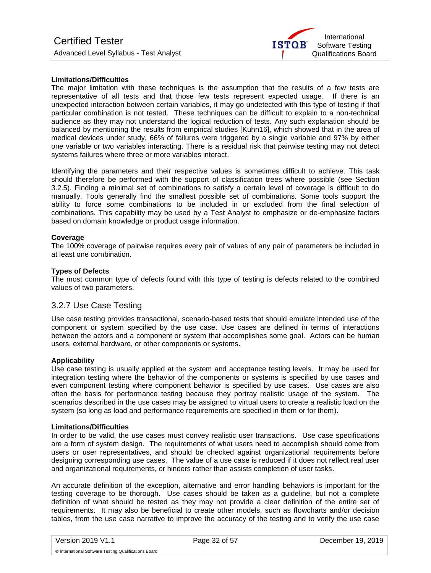

#### **Limitations/Difficulties**

The maior limitation with these techniques is the assumption that the results of a few tests are representative of all tests and that those few tests represent expected usage. If there is an unexpected interaction between certain variables, it may go undetected with this type of testing if that particular combination is not tested. These techniques can be difficult to explain to a non-technical audience as they may not understand the logical reduction of tests. Any such explanation should be balanced by mentioning the results from empirical studies [Kuhn16], which showed that in the area of medical devices under study, 66% of failures were triggered by a single variable and 97% by either one variable or two variables interacting. There is a residual risk that pairwise testing may not detect systems failures where three or more variables interact.

Identifying the parameters and their respective values is sometimes difficult to achieve. This task should therefore be performed with the support of classification trees where possible (see Section 3.2.5). Finding a minimal set of combinations to satisfy a certain level of coverage is difficult to do manually. Tools generally find the smallest possible set of combinations. Some tools support the ability to force some combinations to be included in or excluded from the final selection of combinations. This capability may be used by a Test Analyst to emphasize or de-emphasize factors based on domain knowledge or product usage information.

#### **Coverage**

The 100% coverage of pairwise requires every pair of values of any pair of parameters be included in at least one combination.

#### **Types of Defects**

The most common type of defects found with this type of testing is defects related to the combined values of two parameters.

## <span id="page-31-0"></span>3.2.7 Use Case Testing

Use case testing provides transactional, scenario-based tests that should emulate intended use of the component or system specified by the use case. Use cases are defined in terms of interactions between the actors and a component or system that accomplishes some goal. Actors can be human users, external hardware, or other components or systems.

#### **Applicability**

Use case testing is usually applied at the system and acceptance testing levels. It may be used for integration testing where the behavior of the components or systems is specified by use cases and even component testing where component behavior is specified by use cases. Use cases are also often the basis for performance testing because they portray realistic usage of the system. The scenarios described in the use cases may be assigned to virtual users to create a realistic load on the system (so long as load and performance requirements are specified in them or for them).

#### **Limitations/Difficulties**

In order to be valid, the use cases must convey realistic user transactions. Use case specifications are a form of system design. The requirements of what users need to accomplish should come from users or user representatives, and should be checked against organizational requirements before designing corresponding use cases. The value of a use case is reduced if it does not reflect real user and organizational requirements, or hinders rather than assists completion of user tasks.

An accurate definition of the exception, alternative and error handling behaviors is important for the testing coverage to be thorough. Use cases should be taken as a guideline, but not a complete definition of what should be tested as they may not provide a clear definition of the entire set of requirements. It may also be beneficial to create other models, such as flowcharts and/or decision tables, from the use case narrative to improve the accuracy of the testing and to verify the use case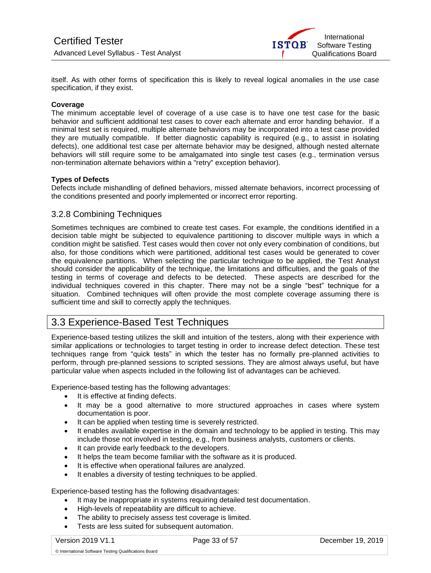

itself. As with other forms of specification this is likely to reveal logical anomalies in the use case specification, if they exist.

#### **Coverage**

The minimum acceptable level of coverage of a use case is to have one test case for the basic behavior and sufficient additional test cases to cover each alternate and error handing behavior. If a minimal test set is required, multiple alternate behaviors may be incorporated into a test case provided they are mutually compatible. If better diagnostic capability is required (e.g., to assist in isolating defects), one additional test case per alternate behavior may be designed, although nested alternate behaviors will still require some to be amalgamated into single test cases (e.g., termination versus non-termination alternate behaviors within a "retry" exception behavior).

#### **Types of Defects**

Defects include mishandling of defined behaviors, missed alternate behaviors, incorrect processing of the conditions presented and poorly implemented or incorrect error reporting.

### <span id="page-32-0"></span>3.2.8 Combining Techniques

Sometimes techniques are combined to create test cases. For example, the conditions identified in a decision table might be subjected to equivalence partitioning to discover multiple ways in which a condition might be satisfied. Test cases would then cover not only every combination of conditions, but also, for those conditions which were partitioned, additional test cases would be generated to cover the equivalence partitions. When selecting the particular technique to be applied, the Test Analyst should consider the applicability of the technique, the limitations and difficulties, and the goals of the testing in terms of coverage and defects to be detected. These aspects are described for the individual techniques covered in this chapter. There may not be a single "best" technique for a situation. Combined techniques will often provide the most complete coverage assuming there is sufficient time and skill to correctly apply the techniques.

# <span id="page-32-1"></span>3.3 Experience-Based Test Techniques

Experience-based testing utilizes the skill and intuition of the testers, along with their experience with similar applications or technologies to target testing in order to increase defect detection. These test techniques range from "quick tests" in which the tester has no formally pre-planned activities to perform, through pre-planned sessions to scripted sessions. They are almost always useful, but have particular value when aspects included in the following list of advantages can be achieved.

Experience-based testing has the following advantages:

- It is effective at finding defects.
- It may be a good alternative to more structured approaches in cases where system documentation is poor.
- It can be applied when testing time is severely restricted.
- It enables available expertise in the domain and technology to be applied in testing. This may include those not involved in testing, e.g., from business analysts, customers or clients.
- It can provide early feedback to the developers.
- It helps the team become familiar with the software as it is produced.
- It is effective when operational failures are analyzed.
- It enables a diversity of testing techniques to be applied.

Experience-based testing has the following disadvantages:

- It may be inappropriate in systems requiring detailed test documentation.
- High-levels of repeatability are difficult to achieve.
- The ability to precisely assess test coverage is limited.
- Tests are less suited for subsequent automation.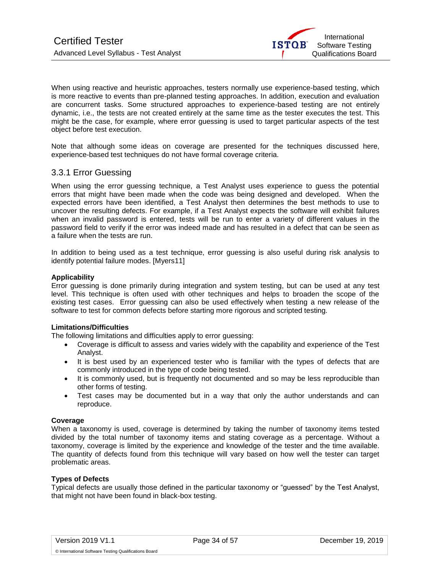

<span id="page-33-1"></span>When using reactive and heuristic approaches, testers normally use experience-based testing, which is more reactive to events than pre-planned testing approaches. In addition, execution and evaluation are concurrent tasks. Some structured approaches to experience-based testing are not entirely dynamic, i.e., the tests are not created entirely at the same time as the tester executes the test. This might be the case, for example, where error guessing is used to target particular aspects of the test object before test execution.

Note that although some ideas on coverage are presented for the techniques discussed here, experience-based test techniques do not have formal coverage criteria.

## <span id="page-33-0"></span>3.3.1 Error Guessing

When using the error guessing technique, a Test Analyst uses experience to guess the potential errors that might have been made when the code was being designed and developed. When the expected errors have been identified, a Test Analyst then determines the best methods to use to uncover the resulting defects. For example, if a Test Analyst expects the software will exhibit failures when an invalid password is entered, tests will be run to enter a variety of different values in the password field to verify if the error was indeed made and has resulted in a defect that can be seen as a failure when the tests are run.

In addition to being used as a test technique, error guessing is also useful during risk analysis to identify potential failure modes. [Myers11]

#### **Applicability**

Error guessing is done primarily during integration and system testing, but can be used at any test level. This technique is often used with other techniques and helps to broaden the scope of the existing test cases. Error guessing can also be used effectively when testing a new release of the software to test for common defects before starting more rigorous and scripted testing.

#### **Limitations/Difficulties**

The following limitations and difficulties apply to error guessing:

- Coverage is difficult to assess and varies widely with the capability and experience of the Test Analyst.
- It is best used by an experienced tester who is familiar with the types of defects that are commonly introduced in the type of code being tested.
- It is commonly used, but is frequently not documented and so may be less reproducible than other forms of testing.
- Test cases may be documented but in a way that only the author understands and can reproduce.

### **Coverage**

When a taxonomy is used, coverage is determined by taking the number of taxonomy items tested divided by the total number of taxonomy items and stating coverage as a percentage. Without a taxonomy, coverage is limited by the experience and knowledge of the tester and the time available. The quantity of defects found from this technique will vary based on how well the tester can target problematic areas.

#### **Types of Defects**

Typical defects are usually those defined in the particular taxonomy or "guessed" by the Test Analyst, that might not have been found in black-box testing.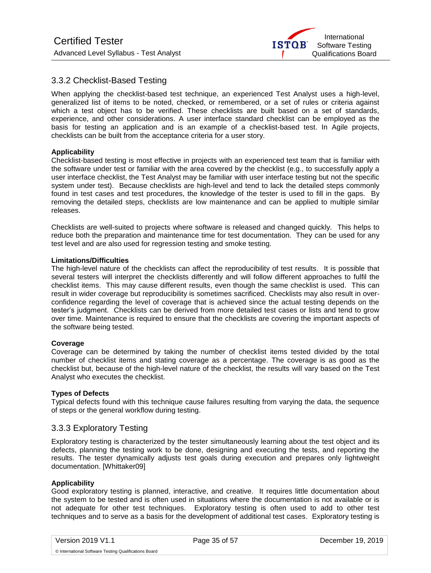

# 3.3.2 Checklist-Based Testing

When applying the checklist-based test technique, an experienced Test Analyst uses a high-level, generalized list of items to be noted, checked, or remembered, or a set of rules or criteria against which a test object has to be verified. These checklists are built based on a set of standards, experience, and other considerations. A user interface standard checklist can be employed as the basis for testing an application and is an example of a checklist-based test. In Agile projects, checklists can be built from the acceptance criteria for a user story.

### **Applicability**

Checklist-based testing is most effective in projects with an experienced test team that is familiar with the software under test or familiar with the area covered by the checklist (e.g., to successfully apply a user interface checklist, the Test Analyst may be familiar with user interface testing but not the specific system under test). Because checklists are high-level and tend to lack the detailed steps commonly found in test cases and test procedures, the knowledge of the tester is used to fill in the gaps. By removing the detailed steps, checklists are low maintenance and can be applied to multiple similar releases.

Checklists are well-suited to projects where software is released and changed quickly. This helps to reduce both the preparation and maintenance time for test documentation. They can be used for any test level and are also used for regression testing and smoke testing.

#### **Limitations/Difficulties**

The high-level nature of the checklists can affect the reproducibility of test results. It is possible that several testers will interpret the checklists differently and will follow different approaches to fulfil the checklist items. This may cause different results, even though the same checklist is used. This can result in wider coverage but reproducibility is sometimes sacrificed. Checklists may also result in overconfidence regarding the level of coverage that is achieved since the actual testing depends on the tester's judgment. Checklists can be derived from more detailed test cases or lists and tend to grow over time. Maintenance is required to ensure that the checklists are covering the important aspects of the software being tested.

#### **Coverage**

Coverage can be determined by taking the number of checklist items tested divided by the total number of checklist items and stating coverage as a percentage. The coverage is as good as the checklist but, because of the high-level nature of the checklist, the results will vary based on the Test Analyst who executes the checklist.

#### **Types of Defects**

Typical defects found with this technique cause failures resulting from varying the data, the sequence of steps or the general workflow during testing.

## <span id="page-34-0"></span>3.3.3 Exploratory Testing

Exploratory testing is characterized by the tester simultaneously learning about the test object and its defects, planning the testing work to be done, designing and executing the tests, and reporting the results. The tester dynamically adjusts test goals during execution and prepares only lightweight documentation. [Whittaker09]

#### **Applicability**

Good exploratory testing is planned, interactive, and creative. It requires little documentation about the system to be tested and is often used in situations where the documentation is not available or is not adequate for other test techniques. Exploratory testing is often used to add to other test techniques and to serve as a basis for the development of additional test cases. Exploratory testing is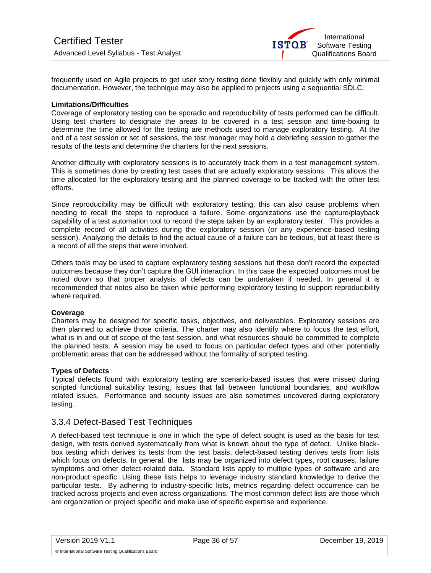

frequently used on Agile projects to get user story testing done flexibly and quickly with only minimal documentation. However, the technique may also be applied to projects using a sequential SDLC.

#### **Limitations/Difficulties**

Coverage of exploratory testing can be sporadic and reproducibility of tests performed can be difficult. Using test charters to designate the areas to be covered in a test session and time-boxing to determine the time allowed for the testing are methods used to manage exploratory testing. At the end of a test session or set of sessions, the test manager may hold a debriefing session to gather the results of the tests and determine the charters for the next sessions.

Another difficulty with exploratory sessions is to accurately track them in a test management system. This is sometimes done by creating test cases that are actually exploratory sessions. This allows the time allocated for the exploratory testing and the planned coverage to be tracked with the other test efforts.

Since reproducibility may be difficult with exploratory testing, this can also cause problems when needing to recall the steps to reproduce a failure. Some organizations use the capture/playback capability of a test automation tool to record the steps taken by an exploratory tester. This provides a complete record of all activities during the exploratory session (or any experience-based testing session). Analyzing the details to find the actual cause of a failure can be tedious, but at least there is a record of all the steps that were involved.

Others tools may be used to capture exploratory testing sessions but these don't record the expected outcomes because they don't capture the GUI interaction. In this case the expected outcomes must be noted down so that proper analysis of defects can be undertaken if needed. In general it is recommended that notes also be taken while performing exploratory testing to support reproducibility where required.

#### **Coverage**

Charters may be designed for specific tasks, objectives, and deliverables. Exploratory sessions are then planned to achieve those criteria. The charter may also identify where to focus the test effort, what is in and out of scope of the test session, and what resources should be committed to complete the planned tests. A session may be used to focus on particular defect types and other potentially problematic areas that can be addressed without the formality of scripted testing.

### **Types of Defects**

Typical defects found with exploratory testing are scenario-based issues that were missed during scripted functional suitability testing, issues that fall between functional boundaries, and workflow related issues. Performance and security issues are also sometimes uncovered during exploratory testing.

## <span id="page-35-0"></span>3.3.4 Defect-Based Test Techniques

A defect-based test technique is one in which the type of defect sought is used as the basis for test design, with tests derived systematically from what is known about the type of defect. Unlike blackbox testing which derives its tests from the test basis, defect-based testing derives tests from lists which focus on defects. In general, the lists may be organized into defect types, root causes, failure symptoms and other defect-related data. Standard lists apply to multiple types of software and are non-product specific. Using these lists helps to leverage industry standard knowledge to derive the particular tests. By adhering to industry-specific lists, metrics regarding defect occurrence can be tracked across projects and even across organizations. The most common defect lists are those which are organization or project specific and make use of specific expertise and experience.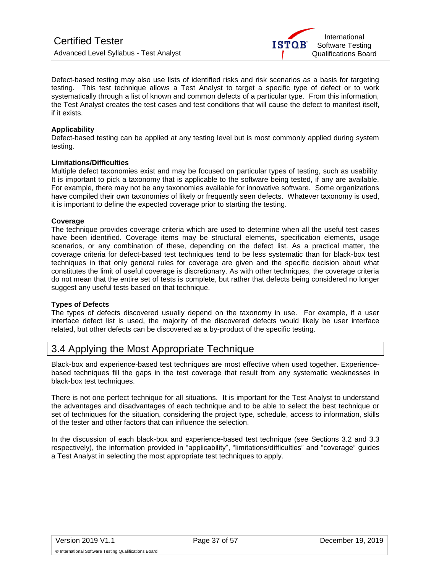

Defect-based testing may also use lists of identified risks and risk scenarios as a basis for targeting testing. This test technique allows a Test Analyst to target a specific type of defect or to work systematically through a list of known and common defects of a particular type. From this information, the Test Analyst creates the test cases and test conditions that will cause the defect to manifest itself, if it exists.

#### **Applicability**

Defect-based testing can be applied at any testing level but is most commonly applied during system testing.

#### **Limitations/Difficulties**

Multiple defect taxonomies exist and may be focused on particular types of testing, such as usability. It is important to pick a taxonomy that is applicable to the software being tested, if any are available. For example, there may not be any taxonomies available for innovative software. Some organizations have compiled their own taxonomies of likely or frequently seen defects. Whatever taxonomy is used, it is important to define the expected coverage prior to starting the testing.

#### **Coverage**

The technique provides coverage criteria which are used to determine when all the useful test cases have been identified. Coverage items may be structural elements, specification elements, usage scenarios, or any combination of these, depending on the defect list. As a practical matter, the coverage criteria for defect-based test techniques tend to be less systematic than for black-box test techniques in that only general rules for coverage are given and the specific decision about what constitutes the limit of useful coverage is discretionary. As with other techniques, the coverage criteria do not mean that the entire set of tests is complete, but rather that defects being considered no longer suggest any useful tests based on that technique.

## **Types of Defects**

The types of defects discovered usually depend on the taxonomy in use. For example, if a user interface defect list is used, the majority of the discovered defects would likely be user interface related, but other defects can be discovered as a by-product of the specific testing.

# <span id="page-36-0"></span>3.4 Applying the Most Appropriate Technique

Black-box and experience-based test techniques are most effective when used together. Experiencebased techniques fill the gaps in the test coverage that result from any systematic weaknesses in black-box test techniques.

There is not one perfect technique for all situations. It is important for the Test Analyst to understand the advantages and disadvantages of each technique and to be able to select the best technique or set of techniques for the situation, considering the project type, schedule, access to information, skills of the tester and other factors that can influence the selection.

In the discussion of each black-box and experience-based test technique (see Sections 3.2 and 3.3 respectively), the information provided in "applicability", "limitations/difficulties" and "coverage" guides a Test Analyst in selecting the most appropriate test techniques to apply.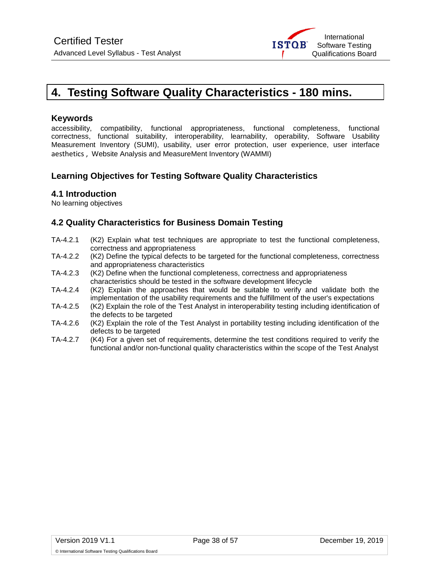

# <span id="page-37-0"></span>**4. Testing Software Quality Characteristics - 180 mins.**

## **Keywords**

accessibility, compatibility, functional appropriateness, functional completeness, functional correctness, functional suitability, interoperability, learnability, operability, Software Usability Measurement Inventory (SUMI), usability, user error protection, user experience, user interface aesthetics , Website Analysis and MeasureMent Inventory (WAMMI)

# **Learning Objectives for Testing Software Quality Characteristics**

## **4.1 Introduction**

No learning objectives

# **4.2 Quality Characteristics for Business Domain Testing**

- TA-4.2.1 (K2) Explain what test techniques are appropriate to test the functional completeness, correctness and appropriateness
- TA-4.2.2 (K2) Define the typical defects to be targeted for the functional completeness, correctness and appropriateness characteristics
- TA-4.2.3 (K2) Define when the functional completeness, correctness and appropriateness characteristics should be tested in the software development lifecycle
- TA-4.2.4 (K2) Explain the approaches that would be suitable to verify and validate both the implementation of the usability requirements and the fulfillment of the user's expectations
- TA-4.2.5 (K2) Explain the role of the Test Analyst in interoperability testing including identification of the defects to be targeted
- TA-4.2.6 (K2) Explain the role of the Test Analyst in portability testing including identification of the defects to be targeted
- TA-4.2.7 (K4) For a given set of requirements, determine the test conditions required to verify the functional and/or non-functional quality characteristics within the scope of the Test Analyst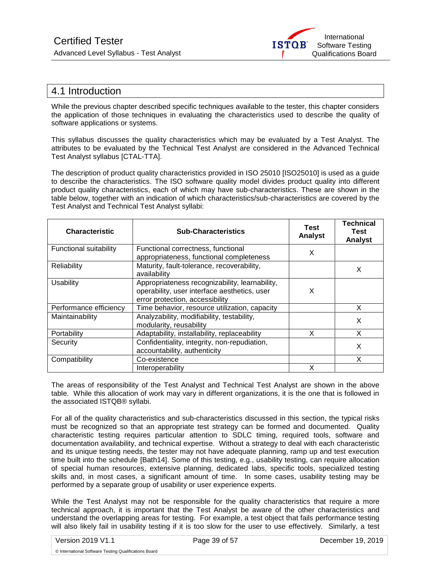

# <span id="page-38-0"></span>4.1 Introduction

While the previous chapter described specific techniques available to the tester, this chapter considers the application of those techniques in evaluating the characteristics used to describe the quality of software applications or systems.

This syllabus discusses the quality characteristics which may be evaluated by a Test Analyst. The attributes to be evaluated by the Technical Test Analyst are considered in the Advanced Technical Test Analyst syllabus [CTAL-TTA].

The description of product quality characteristics provided in ISO 25010 [ISO25010] is used as a guide to describe the characteristics. The ISO software quality model divides product quality into different product quality characteristics, each of which may have sub-characteristics. These are shown in the table below, together with an indication of which characteristics/sub-characteristics are covered by the Test Analyst and Technical Test Analyst syllabi:

| <b>Characteristic</b>         | <b>Sub-Characteristics</b>                                                                                                        | Test<br>Analyst | Technical<br>Test<br>Analyst |
|-------------------------------|-----------------------------------------------------------------------------------------------------------------------------------|-----------------|------------------------------|
| <b>Functional suitability</b> | Functional correctness, functional<br>appropriateness, functional completeness                                                    | X               |                              |
| Reliability                   | Maturity, fault-tolerance, recoverability,<br>availability                                                                        |                 | X                            |
| Usability                     | Appropriateness recognizability, learnability,<br>operability, user interface aesthetics, user<br>error protection, accessibility | X               |                              |
| Performance efficiency        | Time behavior, resource utilization, capacity                                                                                     |                 | X                            |
| Maintainability               | Analyzability, modifiability, testability,<br>modularity, reusability                                                             |                 | X                            |
| Portability                   | Adaptability, installability, replaceability                                                                                      | X               | x                            |
| Security                      | Confidentiality, integrity, non-repudiation,<br>accountability, authenticity                                                      |                 | X                            |
| Compatibility                 | Co-existence                                                                                                                      |                 | X                            |
|                               | Interoperability                                                                                                                  |                 |                              |

The areas of responsibility of the Test Analyst and Technical Test Analyst are shown in the above table. While this allocation of work may vary in different organizations, it is the one that is followed in the associated ISTQB® syllabi.

For all of the quality characteristics and sub-characteristics discussed in this section, the typical risks must be recognized so that an appropriate test strategy can be formed and documented. Quality characteristic testing requires particular attention to SDLC timing, required tools, software and documentation availability, and technical expertise. Without a strategy to deal with each characteristic and its unique testing needs, the tester may not have adequate planning, ramp up and test execution time built into the schedule [Bath14]. Some of this testing, e.g., usability testing, can require allocation of special human resources, extensive planning, dedicated labs, specific tools, specialized testing skills and, in most cases, a significant amount of time. In some cases, usability testing may be performed by a separate group of usability or user experience experts.

While the Test Analyst may not be responsible for the quality characteristics that require a more technical approach, it is important that the Test Analyst be aware of the other characteristics and understand the overlapping areas for testing. For example, a test object that fails performance testing will also likely fail in usability testing if it is too slow for the user to use effectively. Similarly, a test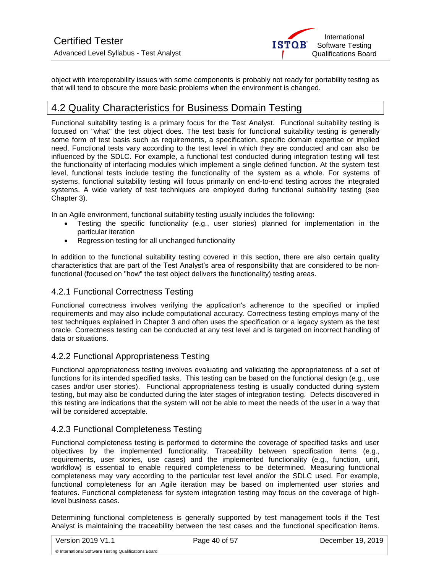

object with interoperability issues with some components is probably not ready for portability testing as that will tend to obscure the more basic problems when the environment is changed.

# <span id="page-39-0"></span>4.2 Quality Characteristics for Business Domain Testing

Functional suitability testing is a primary focus for the Test Analyst. Functional suitability testing is focused on "what" the test object does. The test basis for functional suitability testing is generally some form of test basis such as requirements, a specification, specific domain expertise or implied need. Functional tests vary according to the test level in which they are conducted and can also be influenced by the SDLC. For example, a functional test conducted during integration testing will test the functionality of interfacing modules which implement a single defined function. At the system test level, functional tests include testing the functionality of the system as a whole. For systems of systems, functional suitability testing will focus primarily on end-to-end testing across the integrated systems. A wide variety of test techniques are employed during functional suitability testing (see Chapter 3).

In an Agile environment, functional suitability testing usually includes the following:

- Testing the specific functionality (e.g., user stories) planned for implementation in the particular iteration
- Regression testing for all unchanged functionality

In addition to the functional suitability testing covered in this section, there are also certain quality characteristics that are part of the Test Analyst's area of responsibility that are considered to be nonfunctional (focused on "how" the test object delivers the functionality) testing areas.

## <span id="page-39-1"></span>4.2.1 Functional Correctness Testing

Functional correctness involves verifying the application's adherence to the specified or implied requirements and may also include computational accuracy. Correctness testing employs many of the test techniques explained in Chapter 3 and often uses the specification or a legacy system as the test oracle. Correctness testing can be conducted at any test level and is targeted on incorrect handling of data or situations.

# <span id="page-39-2"></span>4.2.2 Functional Appropriateness Testing

Functional appropriateness testing involves evaluating and validating the appropriateness of a set of functions for its intended specified tasks. This testing can be based on the functional design (e.g., use cases and/or user stories). Functional appropriateness testing is usually conducted during system testing, but may also be conducted during the later stages of integration testing. Defects discovered in this testing are indications that the system will not be able to meet the needs of the user in a way that will be considered acceptable.

## <span id="page-39-3"></span>4.2.3 Functional Completeness Testing

Functional completeness testing is performed to determine the coverage of specified tasks and user objectives by the implemented functionality. Traceability between specification items (e.g., requirements, user stories, use cases) and the implemented functionality (e.g., function, unit, workflow) is essential to enable required completeness to be determined. Measuring functional completeness may vary according to the particular test level and/or the SDLC used. For example, functional completeness for an Agile iteration may be based on implemented user stories and features. Functional completeness for system integration testing may focus on the coverage of highlevel business cases.

Determining functional completeness is generally supported by test management tools if the Test Analyst is maintaining the traceability between the test cases and the functional specification items.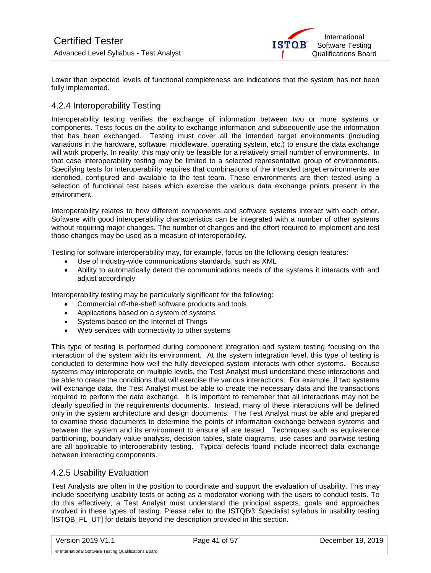

Lower than expected levels of functional completeness are indications that the system has not been fully implemented.

# <span id="page-40-0"></span>4.2.4 Interoperability Testing

Interoperability testing verifies the exchange of information between two or more systems or components. Tests focus on the ability to exchange information and subsequently use the information that has been exchanged. Testing must cover all the intended target environments (including variations in the hardware, software, middleware, operating system, etc.) to ensure the data exchange will work properly. In reality, this may only be feasible for a relatively small number of environments. In that case interoperability testing may be limited to a selected representative group of environments. Specifying tests for interoperability requires that combinations of the intended target environments are identified, configured and available to the test team. These environments are then tested using a selection of functional test cases which exercise the various data exchange points present in the environment.

Interoperability relates to how different components and software systems interact with each other. Software with good interoperability characteristics can be integrated with a number of other systems without requiring major changes. The number of changes and the effort required to implement and test those changes may be used as a measure of interoperability.

Testing for software interoperability may, for example, focus on the following design features:

- Use of industry-wide communications standards, such as XML
- Ability to automatically detect the communications needs of the systems it interacts with and adjust accordingly

Interoperability testing may be particularly significant for the following:

- Commercial off-the-shelf software products and tools
- Applications based on a system of systems
- Systems based on the Internet of Things
- Web services with connectivity to other systems

This type of testing is performed during component integration and system testing focusing on the interaction of the system with its environment. At the system integration level, this type of testing is conducted to determine how well the fully developed system interacts with other systems. Because systems may interoperate on multiple levels, the Test Analyst must understand these interactions and be able to create the conditions that will exercise the various interactions. For example, if two systems will exchange data, the Test Analyst must be able to create the necessary data and the transactions required to perform the data exchange. It is important to remember that all interactions may not be clearly specified in the requirements documents. Instead, many of these interactions will be defined only in the system architecture and design documents. The Test Analyst must be able and prepared to examine those documents to determine the points of information exchange between systems and between the system and its environment to ensure all are tested. Techniques such as equivalence partitioning, boundary value analysis, decision tables, state diagrams, use cases and pairwise testing are all applicable to interoperability testing. Typical defects found include incorrect data exchange between interacting components.

## <span id="page-40-1"></span>4.2.5 Usability Evaluation

Test Analysts are often in the position to coordinate and support the evaluation of usability. This may include specifying usability tests or acting as a moderator working with the users to conduct tests. To do this effectively, a Test Analyst must understand the principal aspects, goals and approaches involved in these types of testing. Please refer to the ISTQB® Specialist syllabus in usability testing [ISTQB\_FL\_UT] for details beyond the description provided in this section.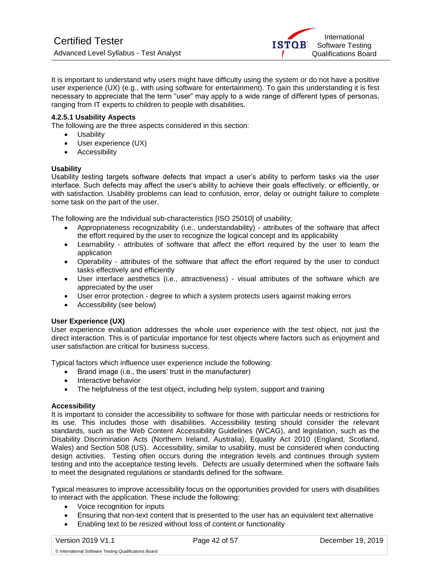

It is important to understand why users might have difficulty using the system or do not have a positive user experience (UX) (e.g., with using software for entertainment). To gain this understanding it is first necessary to appreciate that the term "user" may apply to a wide range of different types of personas, ranging from IT experts to children to people with disabilities.

#### **4.2.5.1 Usability Aspects**

The following are the three aspects considered in this section:

- Usability
- User experience (UX)
- Accessibility

#### **Usability**

Usability testing targets software defects that impact a user's ability to perform tasks via the user interface. Such defects may affect the user's ability to achieve their goals effectively, or efficiently, or with satisfaction. Usability problems can lead to confusion, error, delay or outright failure to complete some task on the part of the user.

The following are the Individual sub-characteristics [ISO 25010] of usability:

- Appropriateness recognizability (i.e., understandability) attributes of the software that affect the effort required by the user to recognize the logical concept and its applicability
- Learnability attributes of software that affect the effort required by the user to learn the application
- Operability attributes of the software that affect the effort required by the user to conduct tasks effectively and efficiently
- User interface aesthetics (i.e., attractiveness) visual attributes of the software which are appreciated by the user
- User error protection degree to which a system protects users against making errors
- Accessibility (see below)

#### **User Experience (UX)**

User experience evaluation addresses the whole user experience with the test object, not just the direct interaction. This is of particular importance for test objects where factors such as enjoyment and user satisfaction are critical for business success.

Typical factors which influence user experience include the following:

- Brand image (i.e., the users' trust in the manufacturer)
- Interactive behavior
- The helpfulness of the test object, including help system, support and training

#### **Accessibility**

It is important to consider the accessibility to software for those with particular needs or restrictions for its use. This includes those with disabilities. Accessibility testing should consider the relevant standards, such as the Web Content Accessibility Guidelines (WCAG), and legislation, such as the Disability Discrimination Acts (Northern Ireland, Australia), Equality Act 2010 (England, Scotland, Wales) and Section 508 (US). Accessibility, similar to usability, must be considered when conducting design activities. Testing often occurs during the integration levels and continues through system testing and into the acceptance testing levels. Defects are usually determined when the software fails to meet the designated regulations or standards defined for the software.

Typical measures to improve accessibility focus on the opportunities provided for users with disabilities to interact with the application. These include the following:

• Voice recognition for inputs

- Ensuring that non-text content that is presented to the user has an equivalent text alternative
- Enabling text to be resized without loss of content or functionality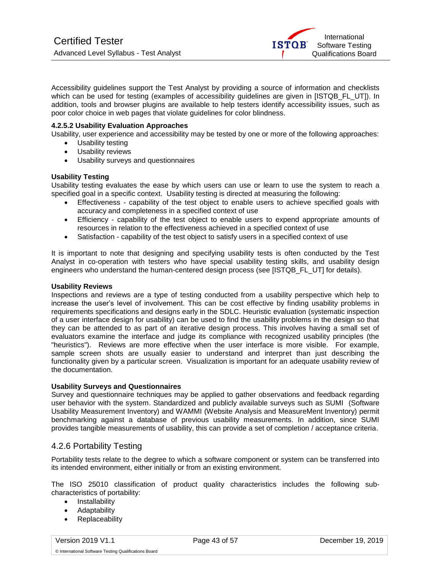

Accessibility guidelines support the Test Analyst by providing a source of information and checklists which can be used for testing (examples of accessibility guidelines are given in [ISTQB\_FL\_UT]). In addition, tools and browser plugins are available to help testers identify accessibility issues, such as poor color choice in web pages that violate guidelines for color blindness.

### **4.2.5.2 Usability Evaluation Approaches**

Usability, user experience and accessibility may be tested by one or more of the following approaches:

- Usability testing
- Usability reviews
- Usability surveys and questionnaires

#### **Usability Testing**

Usability testing evaluates the ease by which users can use or learn to use the system to reach a specified goal in a specific context. Usability testing is directed at measuring the following:

- Effectiveness capability of the test object to enable users to achieve specified goals with accuracy and completeness in a specified context of use
- Efficiency capability of the test object to enable users to expend appropriate amounts of resources in relation to the effectiveness achieved in a specified context of use
- Satisfaction capability of the test object to satisfy users in a specified context of use

It is important to note that designing and specifying usability tests is often conducted by the Test Analyst in co-operation with testers who have special usability testing skills, and usability design engineers who understand the human-centered design process (see [ISTQB\_FL\_UT] for details).

#### **Usability Reviews**

Inspections and reviews are a type of testing conducted from a usability perspective which help to increase the user's level of involvement. This can be cost effective by finding usability problems in requirements specifications and designs early in the SDLC. Heuristic evaluation (systematic inspection of a user interface design for usability) can be used to find the usability problems in the design so that they can be attended to as part of an iterative design process. This involves having a small set of evaluators examine the interface and judge its compliance with recognized usability principles (the "heuristics"). Reviews are more effective when the user interface is more visible. For example, sample screen shots are usually easier to understand and interpret than just describing the functionality given by a particular screen. Visualization is important for an adequate usability review of the documentation.

#### **Usability Surveys and Questionnaires**

Survey and questionnaire techniques may be applied to gather observations and feedback regarding user behavior with the system. Standardized and publicly available surveys such as SUMI (Software Usability Measurement Inventory) and WAMMI (Website Analysis and MeasureMent Inventory) permit benchmarking against a database of previous usability measurements. In addition, since SUMI provides tangible measurements of usability, this can provide a set of completion / acceptance criteria.

## <span id="page-42-0"></span>4.2.6 Portability Testing

Portability tests relate to the degree to which a software component or system can be transferred into its intended environment, either initially or from an existing environment.

The ISO 25010 classification of product quality characteristics includes the following subcharacteristics of portability:

- Installability
- Adaptability
- **Replaceability**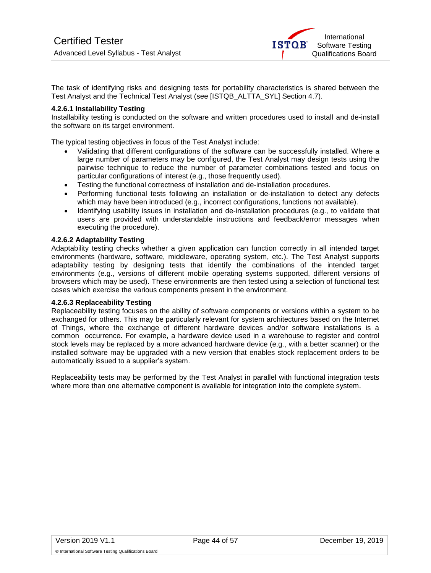

The task of identifying risks and designing tests for portability characteristics is shared between the Test Analyst and the Technical Test Analyst (see [ISTQB\_ALTTA\_SYL] Section 4.7).

#### **4.2.6.1 Installability Testing**

Installability testing is conducted on the software and written procedures used to install and de-install the software on its target environment.

The typical testing objectives in focus of the Test Analyst include:

- Validating that different configurations of the software can be successfully installed. Where a large number of parameters may be configured, the Test Analyst may design tests using the pairwise technique to reduce the number of parameter combinations tested and focus on particular configurations of interest (e.g., those frequently used).
- Testing the functional correctness of installation and de-installation procedures.
- Performing functional tests following an installation or de-installation to detect any defects which may have been introduced (e.g., incorrect configurations, functions not available).
- Identifying usability issues in installation and de-installation procedures (e.g., to validate that users are provided with understandable instructions and feedback/error messages when executing the procedure).

### **4.2.6.2 Adaptability Testing**

Adaptability testing checks whether a given application can function correctly in all intended target environments (hardware, software, middleware, operating system, etc.). The Test Analyst supports adaptability testing by designing tests that identify the combinations of the intended target environments (e.g., versions of different mobile operating systems supported, different versions of browsers which may be used). These environments are then tested using a selection of functional test cases which exercise the various components present in the environment.

#### **4.2.6.3 Replaceability Testing**

Replaceability testing focuses on the ability of software components or versions within a system to be exchanged for others. This may be particularly relevant for system architectures based on the Internet of Things, where the exchange of different hardware devices and/or software installations is a common occurrence. For example, a hardware device used in a warehouse to register and control stock levels may be replaced by a more advanced hardware device (e.g., with a better scanner) or the installed software may be upgraded with a new version that enables stock replacement orders to be automatically issued to a supplier's system.

Replaceability tests may be performed by the Test Analyst in parallel with functional integration tests where more than one alternative component is available for integration into the complete system.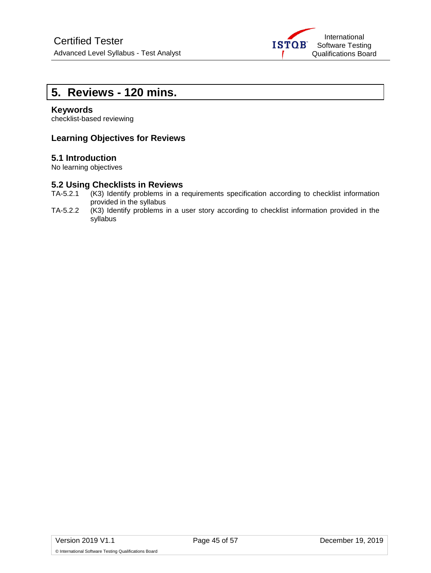

# <span id="page-44-0"></span>**5. Reviews - 120 mins.**

### **Keywords**

checklist-based reviewing

## **Learning Objectives for Reviews**

## **5.1 Introduction**

No learning objectives

# **5.2 Using Checklists in Reviews**<br>TA-5.2.1 (K3) Identify problems in a r

- (K3) Identify problems in a requirements specification according to checklist information provided in the syllabus
- TA-5.2.2 (K3) Identify problems in a user story according to checklist information provided in the syllabus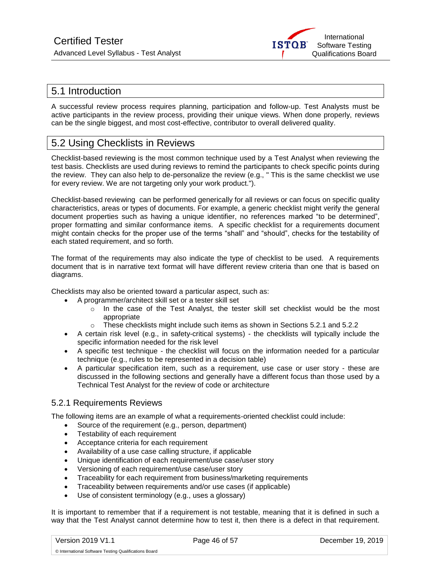

# <span id="page-45-0"></span>5.1 Introduction

A successful review process requires planning, participation and follow-up. Test Analysts must be active participants in the review process, providing their unique views. When done properly, reviews can be the single biggest, and most cost-effective, contributor to overall delivered quality.

# <span id="page-45-1"></span>5.2 Using Checklists in Reviews

Checklist-based reviewing is the most common technique used by a Test Analyst when reviewing the test basis. Checklists are used during reviews to remind the participants to check specific points during the review. They can also help to de-personalize the review (e.g., " This is the same checklist we use for every review. We are not targeting only your work product.").

Checklist-based reviewing can be performed generically for all reviews or can focus on specific quality characteristics, areas or types of documents. For example, a generic checklist might verify the general document properties such as having a unique identifier, no references marked "to be determined", proper formatting and similar conformance items. A specific checklist for a requirements document might contain checks for the proper use of the terms "shall" and "should", checks for the testability of each stated requirement, and so forth.

The format of the requirements may also indicate the type of checklist to be used. A requirements document that is in narrative text format will have different review criteria than one that is based on diagrams.

Checklists may also be oriented toward a particular aspect, such as:

- A programmer/architect skill set or a tester skill set
	- o In the case of the Test Analyst, the tester skill set checklist would be the most appropriate
	- o These checklists might include such items as shown in Sections 5.2.1 and 5.2.2
- A certain risk level (e.g., in safety-critical systems) the checklists will typically include the specific information needed for the risk level
- A specific test technique the checklist will focus on the information needed for a particular technique (e.g., rules to be represented in a decision table)
- A particular specification item, such as a requirement, use case or user story these are discussed in the following sections and generally have a different focus than those used by a Technical Test Analyst for the review of code or architecture

## <span id="page-45-2"></span>5.2.1 Requirements Reviews

The following items are an example of what a requirements-oriented checklist could include:

- Source of the requirement (e.g., person, department)
- Testability of each requirement
- Acceptance criteria for each requirement
- Availability of a use case calling structure, if applicable
- Unique identification of each requirement/use case/user story
- Versioning of each requirement/use case/user story
- Traceability for each requirement from business/marketing requirements
- Traceability between requirements and/or use cases (if applicable)
- Use of consistent terminology (e.g., uses a glossary)

It is important to remember that if a requirement is not testable, meaning that it is defined in such a way that the Test Analyst cannot determine how to test it, then there is a defect in that requirement.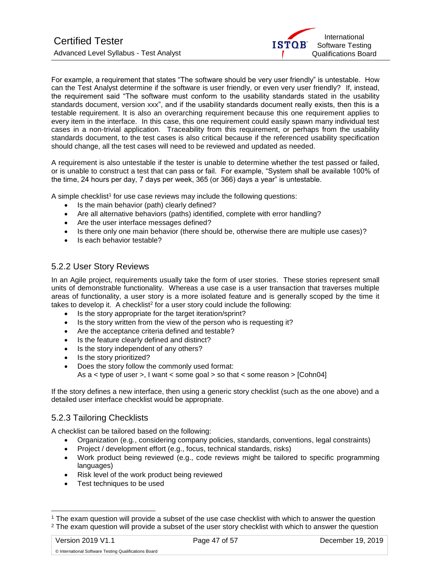

For example, a requirement that states "The software should be very user friendly" is untestable. How can the Test Analyst determine if the software is user friendly, or even very user friendly? If, instead, the requirement said "The software must conform to the usability standards stated in the usability standards document, version xxx", and if the usability standards document really exists, then this is a testable requirement. It is also an overarching requirement because this one requirement applies to every item in the interface. In this case, this one requirement could easily spawn many individual test cases in a non-trivial application. Traceability from this requirement, or perhaps from the usability standards document, to the test cases is also critical because if the referenced usability specification should change, all the test cases will need to be reviewed and updated as needed.

A requirement is also untestable if the tester is unable to determine whether the test passed or failed, or is unable to construct a test that can pass or fail. For example, "System shall be available 100% of the time, 24 hours per day, 7 days per week, 365 (or 366) days a year" is untestable.

A simple checklist<sup>1</sup> for use case reviews may include the following questions:

- Is the main behavior (path) clearly defined?
- Are all alternative behaviors (paths) identified, complete with error handling?
- Are the user interface messages defined?
- Is there only one main behavior (there should be, otherwise there are multiple use cases)?
- Is each behavior testable?

## <span id="page-46-0"></span>5.2.2 User Story Reviews

In an Agile project, requirements usually take the form of user stories. These stories represent small units of demonstrable functionality. Whereas a use case is a user transaction that traverses multiple areas of functionality, a user story is a more isolated feature and is generally scoped by the time it takes to develop it. A checklist<sup>2</sup> for a user story could include the following:

- Is the story appropriate for the target iteration/sprint?
- Is the story written from the view of the person who is requesting it?
- Are the acceptance criteria defined and testable?
- Is the feature clearly defined and distinct?
- Is the story independent of any others?
- Is the story prioritized?
- Does the story follow the commonly used format: As a < type of user >, I want < some goal > so that < some reason > [Cohn04]

If the story defines a new interface, then using a generic story checklist (such as the one above) and a detailed user interface checklist would be appropriate.

## <span id="page-46-1"></span>5.2.3 Tailoring Checklists

A checklist can be tailored based on the following:

- Organization (e.g., considering company policies, standards, conventions, legal constraints)
- Project / development effort (e.g., focus, technical standards, risks)
- Work product being reviewed (e.g., code reviews might be tailored to specific programming languages)
- Risk level of the work product being reviewed
- Test techniques to be used

l

<sup>&</sup>lt;sup>1</sup> The exam question will provide a subset of the use case checklist with which to answer the question <sup>2</sup> The exam question will provide a subset of the user story checklist with which to answer the question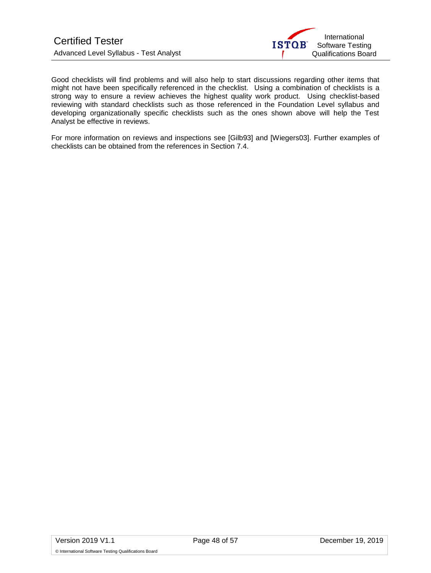

Good checklists will find problems and will also help to start discussions regarding other items that might not have been specifically referenced in the checklist. Using a combination of checklists is a strong way to ensure a review achieves the highest quality work product. Using checklist-based reviewing with standard checklists such as those referenced in the Foundation Level syllabus and developing organizationally specific checklists such as the ones shown above will help the Test Analyst be effective in reviews.

For more information on reviews and inspections see [Gilb93] and [Wiegers03]. Further examples of checklists can be obtained from the references in Section 7.4.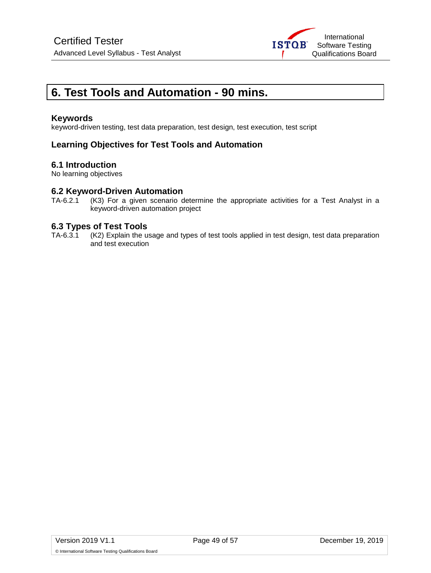

# <span id="page-48-0"></span>**6. Test Tools and Automation - 90 mins.**

## **Keywords**

keyword-driven testing, test data preparation, test design, test execution, test script

# **Learning Objectives for Test Tools and Automation**

## **6.1 Introduction**

No learning objectives

# **6.2 Keyword-Driven Automation**<br>TA-6.2.1 (K3) For a given scenario d

(K3) For a given scenario determine the appropriate activities for a Test Analyst in a keyword-driven automation project

## **6.3 Types of Test Tools**

TA-6.3.1 (K2) Explain the usage and types of test tools applied in test design, test data preparation and test execution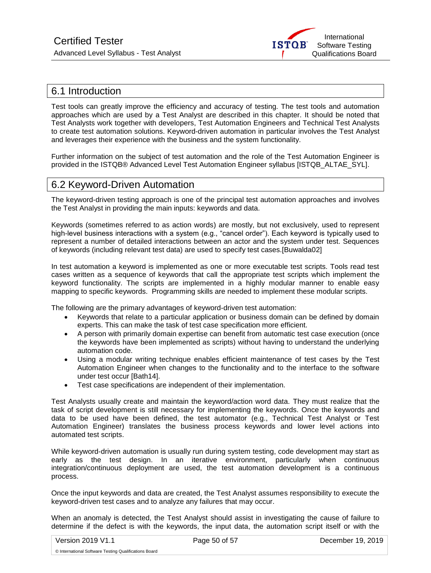

# <span id="page-49-0"></span>6.1 Introduction

Test tools can greatly improve the efficiency and accuracy of testing. The test tools and automation approaches which are used by a Test Analyst are described in this chapter. It should be noted that Test Analysts work together with developers, Test Automation Engineers and Technical Test Analysts to create test automation solutions. Keyword-driven automation in particular involves the Test Analyst and leverages their experience with the business and the system functionality.

Further information on the subject of test automation and the role of the Test Automation Engineer is provided in the ISTQB® Advanced Level Test Automation Engineer syllabus [ISTQB\_ALTAE\_SYL].

# <span id="page-49-1"></span>6.2 Keyword-Driven Automation

The keyword-driven testing approach is one of the principal test automation approaches and involves the Test Analyst in providing the main inputs: keywords and data.

Keywords (sometimes referred to as action words) are mostly, but not exclusively, used to represent high-level business interactions with a system (e.g., "cancel order"). Each keyword is typically used to represent a number of detailed interactions between an actor and the system under test. Sequences of keywords (including relevant test data) are used to specify test cases.[Buwalda02]

In test automation a keyword is implemented as one or more executable test scripts. Tools read test cases written as a sequence of keywords that call the appropriate test scripts which implement the keyword functionality. The scripts are implemented in a highly modular manner to enable easy mapping to specific keywords. Programming skills are needed to implement these modular scripts.

The following are the primary advantages of keyword-driven test automation:

- Keywords that relate to a particular application or business domain can be defined by domain experts. This can make the task of test case specification more efficient.
- A person with primarily domain expertise can benefit from automatic test case execution (once the keywords have been implemented as scripts) without having to understand the underlying automation code.
- Using a modular writing technique enables efficient maintenance of test cases by the Test Automation Engineer when changes to the functionality and to the interface to the software under test occur [Bath14].
- Test case specifications are independent of their implementation.

Test Analysts usually create and maintain the keyword/action word data. They must realize that the task of script development is still necessary for implementing the keywords. Once the keywords and data to be used have been defined, the test automator (e.g., Technical Test Analyst or Test Automation Engineer) translates the business process keywords and lower level actions into automated test scripts.

While keyword-driven automation is usually run during system testing, code development may start as early as the test design. In an iterative environment, particularly when continuous integration/continuous deployment are used, the test automation development is a continuous process.

Once the input keywords and data are created, the Test Analyst assumes responsibility to execute the keyword-driven test cases and to analyze any failures that may occur.

When an anomaly is detected, the Test Analyst should assist in investigating the cause of failure to determine if the defect is with the keywords, the input data, the automation script itself or with the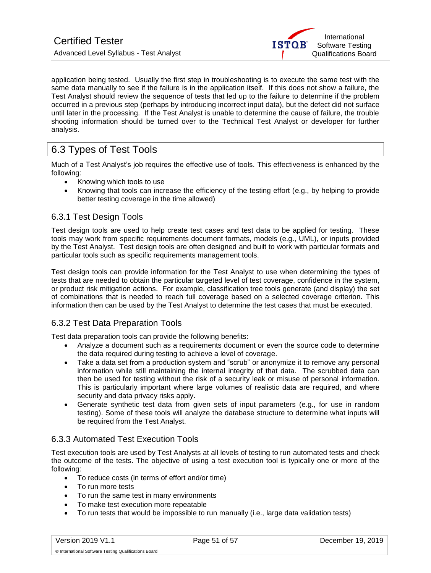

application being tested. Usually the first step in troubleshooting is to execute the same test with the same data manually to see if the failure is in the application itself. If this does not show a failure, the Test Analyst should review the sequence of tests that led up to the failure to determine if the problem occurred in a previous step (perhaps by introducing incorrect input data), but the defect did not surface until later in the processing. If the Test Analyst is unable to determine the cause of failure, the trouble shooting information should be turned over to the Technical Test Analyst or developer for further analysis.

# <span id="page-50-0"></span>6.3 Types of Test Tools

Much of a Test Analyst's job requires the effective use of tools. This effectiveness is enhanced by the following:

- Knowing which tools to use
- Knowing that tools can increase the efficiency of the testing effort (e.g., by helping to provide better testing coverage in the time allowed)

# <span id="page-50-1"></span>6.3.1 Test Design Tools

Test design tools are used to help create test cases and test data to be applied for testing. These tools may work from specific requirements document formats, models (e.g., UML), or inputs provided by the Test Analyst. Test design tools are often designed and built to work with particular formats and particular tools such as specific requirements management tools.

Test design tools can provide information for the Test Analyst to use when determining the types of tests that are needed to obtain the particular targeted level of test coverage, confidence in the system, or product risk mitigation actions. For example, classification tree tools generate (and display) the set of combinations that is needed to reach full coverage based on a selected coverage criterion. This information then can be used by the Test Analyst to determine the test cases that must be executed.

# <span id="page-50-2"></span>6.3.2 Test Data Preparation Tools

Test data preparation tools can provide the following benefits:

- Analyze a document such as a requirements document or even the source code to determine the data required during testing to achieve a level of coverage.
- Take a data set from a production system and "scrub" or anonymize it to remove any personal information while still maintaining the internal integrity of that data. The scrubbed data can then be used for testing without the risk of a security leak or misuse of personal information. This is particularly important where large volumes of realistic data are required, and where security and data privacy risks apply.
- Generate synthetic test data from given sets of input parameters (e.g., for use in random testing). Some of these tools will analyze the database structure to determine what inputs will be required from the Test Analyst.

# <span id="page-50-3"></span>6.3.3 Automated Test Execution Tools

Test execution tools are used by Test Analysts at all levels of testing to run automated tests and check the outcome of the tests. The objective of using a test execution tool is typically one or more of the following:

- To reduce costs (in terms of effort and/or time)
- To run more tests
- To run the same test in many environments
- To make test execution more repeatable
- To run tests that would be impossible to run manually (i.e., large data validation tests)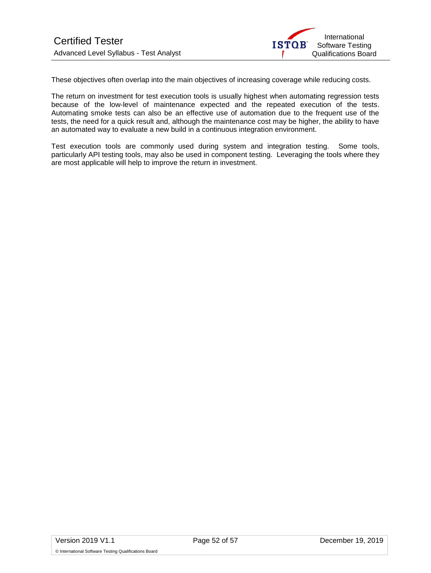

These objectives often overlap into the main objectives of increasing coverage while reducing costs.

The return on investment for test execution tools is usually highest when automating regression tests because of the low-level of maintenance expected and the repeated execution of the tests. Automating smoke tests can also be an effective use of automation due to the frequent use of the tests, the need for a quick result and, although the maintenance cost may be higher, the ability to have an automated way to evaluate a new build in a continuous integration environment.

Test execution tools are commonly used during system and integration testing. Some tools, particularly API testing tools, may also be used in component testing. Leveraging the tools where they are most applicable will help to improve the return in investment.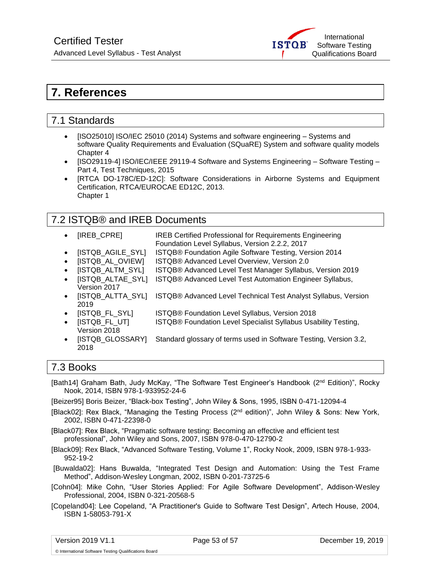

# <span id="page-52-0"></span>**7. References**

# <span id="page-52-1"></span>7.1 Standards

- [ISO25010] ISO/IEC 25010 (2014) Systems and software engineering Systems and software Quality Requirements and Evaluation (SQuaRE) System and software quality models Chapter 4
- [ISO29119-4] ISO/IEC/IEEE 29119-4 Software and Systems Engineering Software Testing Part 4, Test Techniques, 2015
- [RTCA DO-178C/ED-12C]: Software Considerations in Airborne Systems and Equipment Certification, RTCA/EUROCAE ED12C, 2013. Chapter 1

# <span id="page-52-2"></span>7.2 ISTQB® and IREB Documents

- [IREB\_CPRE] IREB Certified Professional for Requirements Engineering Foundation Level Syllabus, Version 2.2.2, 2017
- [ISTQB\_AGILE\_SYL] ISTQB® Foundation Agile Software Testing, Version 2014
- ISTQB AL OVIEWI ISTQB® Advanced Level Overview, Version 2.0
- **[ISTQB\_ALTM\_SYL]** ISTQB® Advanced Level Test Manager Syllabus, Version 2019
- **ISTQB** ALTAE SYLI ISTQB® Advanced Level Test Automation Engineer Syllabus,
- Version 2017 • [ISTQB\_ALTTA\_SYL] ISTQB® Advanced Level Technical Test Analyst Syllabus, Version 2019
- [ISTQB\_FL\_SYL] ISTQB® Foundation Level Syllabus, Version 2018
- [ISTQB\_FL\_UT] ISTQB® Foundation Level Specialist Syllabus Usability Testing,
- Version 2018 • [ISTQB\_GLOSSARY] Standard glossary of terms used in Software Testing, Version 3.2,
- 2018

# <span id="page-52-3"></span>7.3 Books

[Bath14] Graham Bath, Judy McKay, "The Software Test Engineer's Handbook (2nd Edition)", Rocky Nook, 2014, ISBN 978-1-933952-24-6

[Beizer95] Boris Beizer, "Black-box Testing", John Wiley & Sons, 1995, ISBN 0-471-12094-4

- [Black02]: Rex Black, "Managing the Testing Process (2<sup>nd</sup> edition)", John Wiley & Sons: New York, 2002, ISBN 0-471-22398-0
- [Black07]: Rex Black, "Pragmatic software testing: Becoming an effective and efficient test professional", John Wiley and Sons, 2007, ISBN 978-0-470-12790-2
- [Black09]: Rex Black, "Advanced Software Testing, Volume 1", Rocky Nook, 2009, ISBN 978-1-933- 952-19-2
- [Buwalda02]: Hans Buwalda, "Integrated Test Design and Automation: Using the Test Frame Method", Addison-Wesley Longman, 2002, ISBN 0-201-73725-6
- [Cohn04]: Mike Cohn, "User Stories Applied: For Agile Software Development", Addison-Wesley Professional, 2004, ISBN 0-321-20568-5
- [Copeland04]: Lee Copeland, "A Practitioner's Guide to Software Test Design", Artech House, 2004, ISBN 1-58053-791-X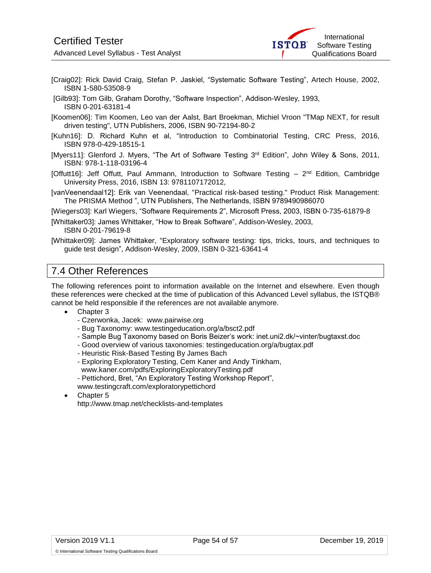

- [Craig02]: Rick David Craig, Stefan P. Jaskiel, "Systematic Software Testing", Artech House, 2002, ISBN 1-580-53508-9
- [Gilb93]: Tom Gilb, Graham Dorothy, "Software Inspection", Addison-Wesley, 1993, ISBN 0-201-63181-4
- [Koomen06]: Tim Koomen, Leo van der Aalst, Bart Broekman, Michiel Vroon "TMap NEXT, for result driven testing", UTN Publishers, 2006, ISBN 90-72194-80-2
- [Kuhn16]: D. Richard Kuhn et al, "Introduction to Combinatorial Testing, CRC Press, 2016, ISBN 978-0-429-18515-1
- [Myers11]: Glenford J. Myers, "The Art of Software Testing 3<sup>rd</sup> Edition", John Wiley & Sons, 2011, ISBN: 978-1-118-03196-4
- [Offutt16]: Jeff Offutt, Paul Ammann, Introduction to Software Testing 2<sup>nd</sup> Edition, Cambridge University Press, 2016, ISBN 13: 9781107172012,
- [vanVeenendaal12]: Erik van Veenendaal, "Practical risk-based testing." Product Risk Management: The PRISMA Method ", UTN Publishers, The Netherlands, ISBN 9789490986070
- [Wiegers03]: Karl Wiegers, "Software Requirements 2", Microsoft Press, 2003, ISBN 0-735-61879-8
- [Whittaker03]: James Whittaker, "How to Break Software", Addison-Wesley, 2003, ISBN 0-201-79619-8
- [Whittaker09]: James Whittaker, "Exploratory software testing: tips, tricks, tours, and techniques to guide test design", Addison-Wesley, 2009, ISBN 0-321-63641-4

# <span id="page-53-0"></span>7.4 Other References

The following references point to information available on the Internet and elsewhere. Even though these references were checked at the time of publication of this Advanced Level syllabus, the ISTQB® cannot be held responsible if the references are not available anymore.

- Chapter 3
	- Czerwonka, Jacek: www.pairwise.org
	- Bug Taxonomy: [www.testingeducation.org/a/bsct2.pdf](http://www.testingeducation.org/a/bsct2.pdf)
	- Sample Bug Taxonomy based on Boris Beizer's work: inet.uni2.dk/~vinter/bugtaxst.doc
	- Good overview of various taxonomies: [testingeducation.org/a/bugtax.pdf](http://testingeducation.org/a/bugtax.pdf)
	- Heuristic Risk-Based Testing By James Bach
	- Exploring Exploratory Testing, Cem Kaner and Andy Tinkham, www.kaner.com/pdfs/ExploringExploratoryTesting.pdf
	- Pettichord, Bret, "An Exploratory Testing Workshop Report",
	- [www.testingcraft.com/exploratorypettichord](http://www.testingcraft.com/exploratorypettichord)
- Chapter 5 http://www.tmap.net/checklists-and-templates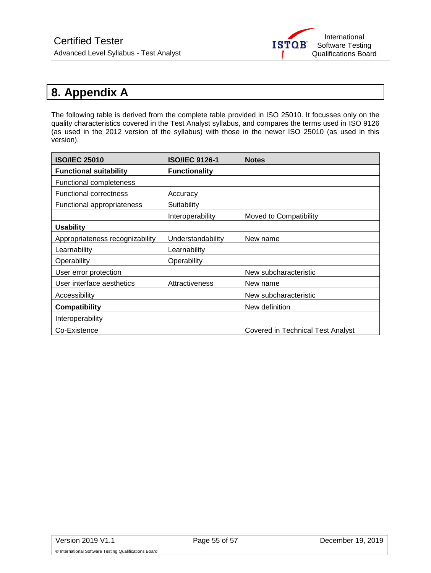

# <span id="page-54-0"></span>**8. Appendix A**

The following table is derived from the complete table provided in ISO 25010. It focusses only on the quality characteristics covered in the Test Analyst syllabus, and compares the terms used in ISO 9126 (as used in the 2012 version of the syllabus) with those in the newer ISO 25010 (as used in this version).

| <b>ISO/IEC 25010</b>            | <b>ISO/IEC 9126-1</b> | <b>Notes</b>                             |
|---------------------------------|-----------------------|------------------------------------------|
| <b>Functional suitability</b>   | <b>Functionality</b>  |                                          |
| <b>Functional completeness</b>  |                       |                                          |
| <b>Functional correctness</b>   | Accuracy              |                                          |
| Functional appropriateness      | Suitability           |                                          |
|                                 | Interoperability      | Moved to Compatibility                   |
| <b>Usability</b>                |                       |                                          |
| Appropriateness recognizability | Understandability     | New name                                 |
| Learnability                    | Learnability          |                                          |
| Operability                     | Operability           |                                          |
| User error protection           |                       | New subcharacteristic                    |
| User interface aesthetics       | Attractiveness        | New name                                 |
| Accessibility                   |                       | New subcharacteristic                    |
| <b>Compatibility</b>            |                       | New definition                           |
| Interoperability                |                       |                                          |
| Co-Existence                    |                       | <b>Covered in Technical Test Analyst</b> |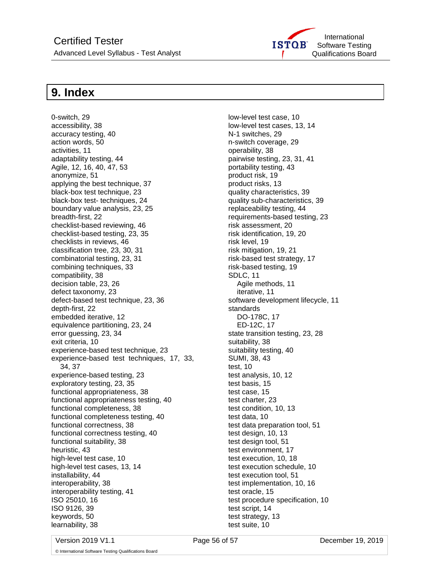

# <span id="page-55-0"></span>**9. Index**

0-switch, 29 accessibility, 38 accuracy testing, 40 action words, 50 activities, 11 adaptability testing, 44 Agile, 12, 16, 40, 47, 53 anonymize, 51 applying the best technique, 37 black-box test technique, 23 black-box test- techniques, 24 boundary value analysis, 23, 25 breadth-first, 22 checklist-based reviewing, 46 checklist-based testing, 23, 35 checklists in reviews, 46 classification tree, 23, 30, 31 combinatorial testing, 23, 31 combining techniques, 33 compatibility, 38 decision table, 23, 26 defect taxonomy, 23 defect-based test technique, 23, 36 depth-first, 22 embedded iterative, 12 equivalence partitioning, 23, 24 error guessing, 23, 34 exit criteria, 10 experience-based test technique, 23 experience-based test techniques, 17, 33, 34, 37 experience-based testing, 23 exploratory testing, 23, 35 functional appropriateness, 38 functional appropriateness testing, 40 functional completeness, 38 functional completeness testing, 40 functional correctness, 38 functional correctness testing, 40 functional suitability, 38 heuristic, 43 high-level test case, 10 high-level test cases, 13, 14 installability, 44 interoperability, 38 interoperability testing, 41 ISO 25010, 16 ISO 9126, 39 keywords, 50 learnability, 38

low-level test case, 10 low-level test cases, 13, 14 N-1 switches, 29 n-switch coverage, 29 operability, 38 pairwise testing, 23, 31, 41 portability testing, 43 product risk, 19 product risks, 13 quality characteristics, 39 quality sub-characteristics, 39 replaceability testing, 44 requirements-based testing, 23 risk assessment, 20 risk identification, 19, 20 risk level, 19 risk mitigation, 19, 21 risk-based test strategy, 17 risk-based testing, 19 SDLC, 11 Agile methods, 11 iterative, 11 software development lifecycle, 11 standards DO-178C, 17 ED-12C, 17 state transition testing, 23, 28 suitability, 38 suitability testing, 40 SUMI, 38, 43 test, 10 test analysis, 10, 12 test basis, 15 test case, 15 test charter, 23 test condition, 10, 13 test data, 10 test data preparation tool, 51 test design, 10, 13 test design tool, 51 test environment, 17 test execution, 10, 18 test execution schedule, 10 test execution tool, 51 test implementation, 10, 16 test oracle, 15 test procedure specification, 10 test script, 14 test strategy, 13 test suite, 10

Version 2019 V1.1 Page 56 of 57 December 19, 2019